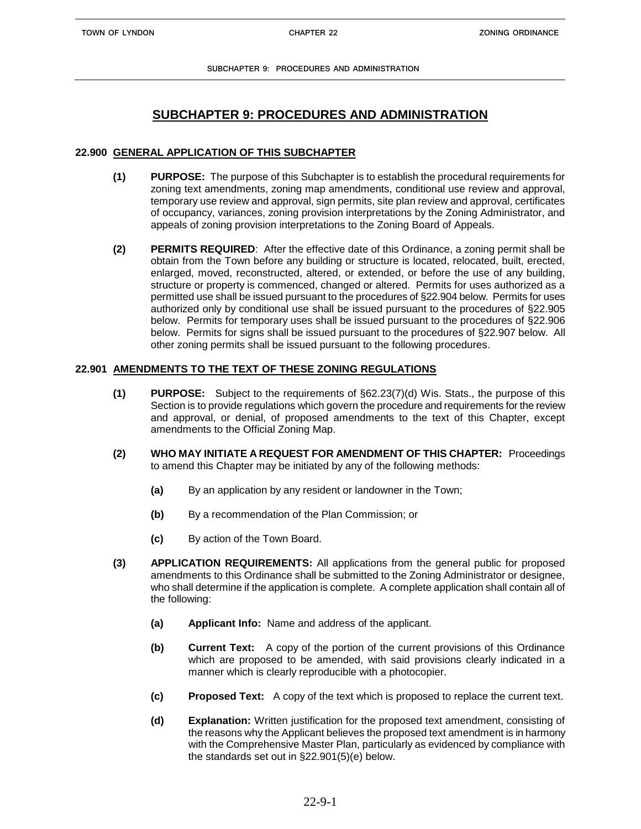## **22.900 GENERAL APPLICATION OF THIS SUBCHAPTER**

- **(1) PURPOSE:** The purpose of this Subchapter is to establish the procedural requirements for zoning text amendments, zoning map amendments, conditional use review and approval, temporary use review and approval, sign permits, site plan review and approval, certificates of occupancy, variances, zoning provision interpretations by the Zoning Administrator, and appeals of zoning provision interpretations to the Zoning Board of Appeals.
- **(2) PERMITS REQUIRED**: After the effective date of this Ordinance, a zoning permit shall be obtain from the Town before any building or structure is located, relocated, built, erected, enlarged, moved, reconstructed, altered, or extended, or before the use of any building, structure or property is commenced, changed or altered. Permits for uses authorized as a permitted use shall be issued pursuant to the procedures of §22.904 below. Permits for uses authorized only by conditional use shall be issued pursuant to the procedures of §22.905 below. Permits for temporary uses shall be issued pursuant to the procedures of §22.906 below. Permits for signs shall be issued pursuant to the procedures of §22.907 below. All other zoning permits shall be issued pursuant to the following procedures.

## **22.901 AMENDMENTS TO THE TEXT OF THESE ZONING REGULATIONS**

- **(1) PURPOSE:** Subject to the requirements of §62.23(7)(d) Wis. Stats., the purpose of this Section is to provide regulations which govern the procedure and requirements for the review and approval, or denial, of proposed amendments to the text of this Chapter, except amendments to the Official Zoning Map.
- **(2) WHO MAY INITIATE A REQUEST FOR AMENDMENT OF THIS CHAPTER:** Proceedings to amend this Chapter may be initiated by any of the following methods:
	- **(a)** By an application by any resident or landowner in the Town;
	- **(b)** By a recommendation of the Plan Commission; or
	- **(c)** By action of the Town Board.
- **(3) APPLICATION REQUIREMENTS:** All applications from the general public for proposed amendments to this Ordinance shall be submitted to the Zoning Administrator or designee, who shall determine if the application is complete. A complete application shall contain all of the following:
	- **(a) Applicant Info:** Name and address of the applicant.
	- **(b) Current Text:** A copy of the portion of the current provisions of this Ordinance which are proposed to be amended, with said provisions clearly indicated in a manner which is clearly reproducible with a photocopier.
	- **(c) Proposed Text:** A copy of the text which is proposed to replace the current text.
	- **(d) Explanation:** Written justification for the proposed text amendment, consisting of the reasons why the Applicant believes the proposed text amendment is in harmony with the Comprehensive Master Plan, particularly as evidenced by compliance with the standards set out in §22.901(5)(e) below.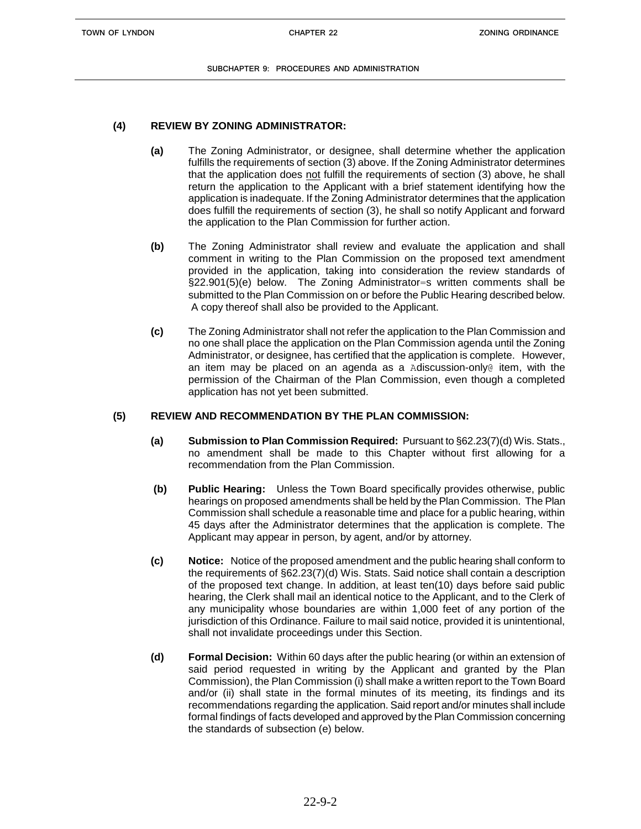## **(4) REVIEW BY ZONING ADMINISTRATOR:**

- **(a)** The Zoning Administrator, or designee, shall determine whether the application fulfills the requirements of section (3) above. If the Zoning Administrator determines that the application does not fulfill the requirements of section (3) above, he shall return the application to the Applicant with a brief statement identifying how the application is inadequate. If the Zoning Administrator determines that the application does fulfill the requirements of section (3), he shall so notify Applicant and forward the application to the Plan Commission for further action.
- **(b)** The Zoning Administrator shall review and evaluate the application and shall comment in writing to the Plan Commission on the proposed text amendment provided in the application, taking into consideration the review standards of §22.901(5)(e) below. The Zoning Administrator=s written comments shall be submitted to the Plan Commission on or before the Public Hearing described below. A copy thereof shall also be provided to the Applicant.
- **(c)** The Zoning Administrator shall not refer the application to the Plan Commission and no one shall place the application on the Plan Commission agenda until the Zoning Administrator, or designee, has certified that the application is complete. However, an item may be placed on an agenda as a Adiscussion-only $\mathfrak g$  item, with the permission of the Chairman of the Plan Commission, even though a completed application has not yet been submitted.

## **(5) REVIEW AND RECOMMENDATION BY THE PLAN COMMISSION:**

- **(a) Submission to Plan Commission Required:** Pursuant to §62.23(7)(d) Wis. Stats., no amendment shall be made to this Chapter without first allowing for a recommendation from the Plan Commission.
- **(b) Public Hearing:** Unless the Town Board specifically provides otherwise, public hearings on proposed amendments shall be held by the Plan Commission. The Plan Commission shall schedule a reasonable time and place for a public hearing, within 45 days after the Administrator determines that the application is complete. The Applicant may appear in person, by agent, and/or by attorney.
- **(c) Notice:** Notice of the proposed amendment and the public hearing shall conform to the requirements of §62.23(7)(d) Wis. Stats. Said notice shall contain a description of the proposed text change. In addition, at least ten(10) days before said public hearing, the Clerk shall mail an identical notice to the Applicant, and to the Clerk of any municipality whose boundaries are within 1,000 feet of any portion of the jurisdiction of this Ordinance. Failure to mail said notice, provided it is unintentional, shall not invalidate proceedings under this Section.
- **(d) Formal Decision:** Within 60 days after the public hearing (or within an extension of said period requested in writing by the Applicant and granted by the Plan Commission), the Plan Commission (i) shall make a written report to the Town Board and/or (ii) shall state in the formal minutes of its meeting, its findings and its recommendations regarding the application. Said report and/or minutes shall include formal findings of facts developed and approved by the Plan Commission concerning the standards of subsection (e) below.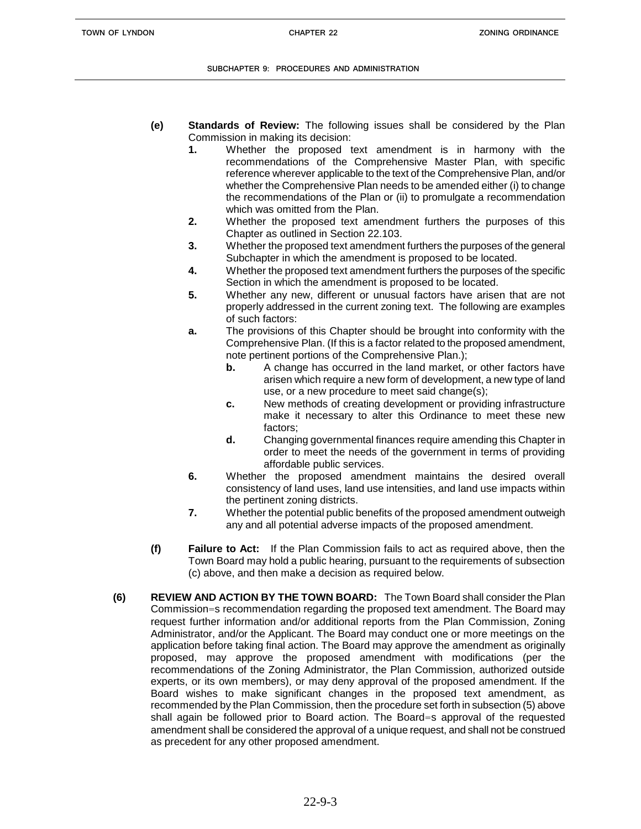- **(e) Standards of Review:** The following issues shall be considered by the Plan Commission in making its decision:
	- **1.** Whether the proposed text amendment is in harmony with the recommendations of the Comprehensive Master Plan, with specific reference wherever applicable to the text of the Comprehensive Plan, and/or whether the Comprehensive Plan needs to be amended either (i) to change the recommendations of the Plan or (ii) to promulgate a recommendation which was omitted from the Plan.
	- **2.** Whether the proposed text amendment furthers the purposes of this Chapter as outlined in Section 22.103.
	- **3.** Whether the proposed text amendment furthers the purposes of the general Subchapter in which the amendment is proposed to be located.
	- **4.** Whether the proposed text amendment furthers the purposes of the specific Section in which the amendment is proposed to be located.
	- **5.** Whether any new, different or unusual factors have arisen that are not properly addressed in the current zoning text. The following are examples of such factors:
	- **a.** The provisions of this Chapter should be brought into conformity with the Comprehensive Plan. (If this is a factor related to the proposed amendment, note pertinent portions of the Comprehensive Plan.);
		- **b.** A change has occurred in the land market, or other factors have arisen which require a new form of development, a new type of land use, or a new procedure to meet said change(s);
		- **c.** New methods of creating development or providing infrastructure make it necessary to alter this Ordinance to meet these new factors;
		- **d.** Changing governmental finances require amending this Chapter in order to meet the needs of the government in terms of providing affordable public services.
	- **6.** Whether the proposed amendment maintains the desired overall consistency of land uses, land use intensities, and land use impacts within the pertinent zoning districts.
	- **7.** Whether the potential public benefits of the proposed amendment outweigh any and all potential adverse impacts of the proposed amendment.
- **(f) Failure to Act:** If the Plan Commission fails to act as required above, then the Town Board may hold a public hearing, pursuant to the requirements of subsection (c) above, and then make a decision as required below.
- **(6) REVIEW AND ACTION BY THE TOWN BOARD:** The Town Board shall consider the Plan Commission=s recommendation regarding the proposed text amendment. The Board may request further information and/or additional reports from the Plan Commission, Zoning Administrator, and/or the Applicant. The Board may conduct one or more meetings on the application before taking final action. The Board may approve the amendment as originally proposed, may approve the proposed amendment with modifications (per the recommendations of the Zoning Administrator, the Plan Commission, authorized outside experts, or its own members), or may deny approval of the proposed amendment. If the Board wishes to make significant changes in the proposed text amendment, as recommended by the Plan Commission, then the procedure set forth in subsection (5) above shall again be followed prior to Board action. The Board=s approval of the requested amendment shall be considered the approval of a unique request, and shall not be construed as precedent for any other proposed amendment.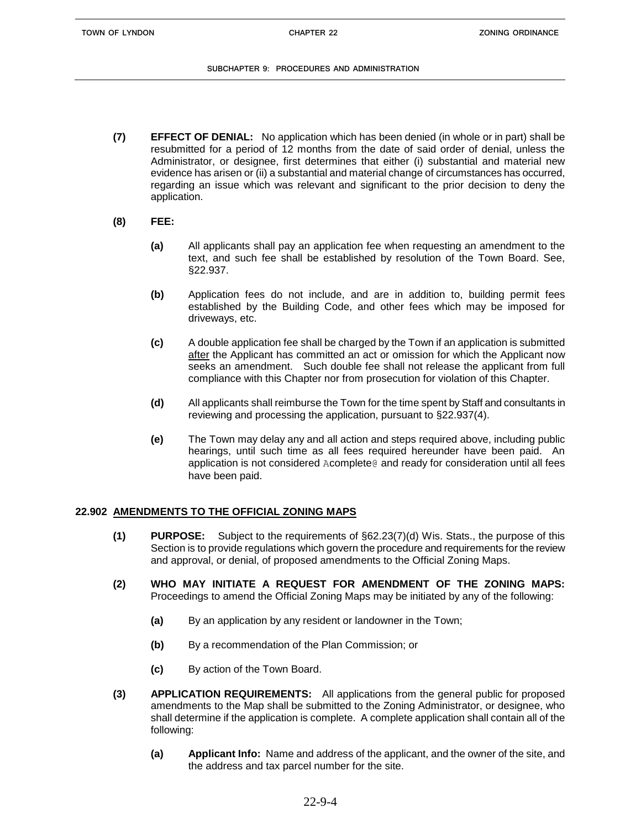- **(7) EFFECT OF DENIAL:** No application which has been denied (in whole or in part) shall be resubmitted for a period of 12 months from the date of said order of denial, unless the Administrator, or designee, first determines that either (i) substantial and material new evidence has arisen or (ii) a substantial and material change of circumstances has occurred, regarding an issue which was relevant and significant to the prior decision to deny the application.
- **(8) FEE:**
	- **(a)** All applicants shall pay an application fee when requesting an amendment to the text, and such fee shall be established by resolution of the Town Board. See, §22.937.
	- **(b)** Application fees do not include, and are in addition to, building permit fees established by the Building Code, and other fees which may be imposed for driveways, etc.
	- **(c)** A double application fee shall be charged by the Town if an application is submitted after the Applicant has committed an act or omission for which the Applicant now seeks an amendment. Such double fee shall not release the applicant from full compliance with this Chapter nor from prosecution for violation of this Chapter.
	- **(d)** All applicants shall reimburse the Town for the time spent by Staff and consultants in reviewing and processing the application, pursuant to §22.937(4).
	- **(e)** The Town may delay any and all action and steps required above, including public hearings, until such time as all fees required hereunder have been paid. An application is not considered Acomplete@ and ready for consideration until all fees have been paid.

# **22.902 AMENDMENTS TO THE OFFICIAL ZONING MAPS**

- **(1) PURPOSE:** Subject to the requirements of §62.23(7)(d) Wis. Stats., the purpose of this Section is to provide regulations which govern the procedure and requirements for the review and approval, or denial, of proposed amendments to the Official Zoning Maps.
- **(2) WHO MAY INITIATE A REQUEST FOR AMENDMENT OF THE ZONING MAPS:** Proceedings to amend the Official Zoning Maps may be initiated by any of the following:
	- **(a)** By an application by any resident or landowner in the Town;
	- **(b)** By a recommendation of the Plan Commission; or
	- **(c)** By action of the Town Board.
- **(3) APPLICATION REQUIREMENTS:** All applications from the general public for proposed amendments to the Map shall be submitted to the Zoning Administrator, or designee, who shall determine if the application is complete. A complete application shall contain all of the following:
	- **(a) Applicant Info:** Name and address of the applicant, and the owner of the site, and the address and tax parcel number for the site.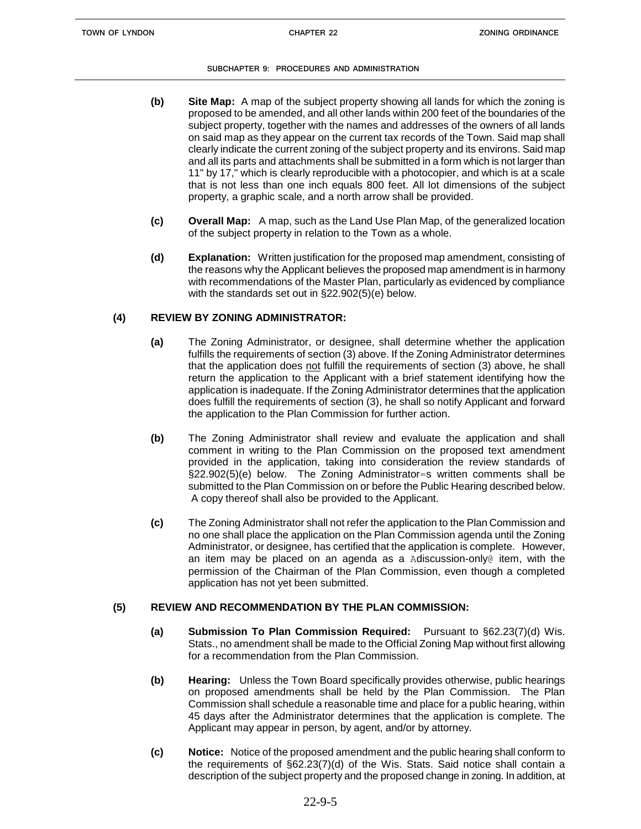- **(b) Site Map:** A map of the subject property showing all lands for which the zoning is proposed to be amended, and all other lands within 200 feet of the boundaries of the subject property, together with the names and addresses of the owners of all lands on said map as they appear on the current tax records of the Town. Said map shall clearly indicate the current zoning of the subject property and its environs. Said map and all its parts and attachments shall be submitted in a form which is not larger than 11" by 17," which is clearly reproducible with a photocopier, and which is at a scale that is not less than one inch equals 800 feet. All lot dimensions of the subject property, a graphic scale, and a north arrow shall be provided.
- **(c) Overall Map:** A map, such as the Land Use Plan Map, of the generalized location of the subject property in relation to the Town as a whole.
- **(d) Explanation:** Written justification for the proposed map amendment, consisting of the reasons why the Applicant believes the proposed map amendment is in harmony with recommendations of the Master Plan, particularly as evidenced by compliance with the standards set out in §22.902(5)(e) below.

## **(4) REVIEW BY ZONING ADMINISTRATOR:**

- **(a)** The Zoning Administrator, or designee, shall determine whether the application fulfills the requirements of section (3) above. If the Zoning Administrator determines that the application does not fulfill the requirements of section (3) above, he shall return the application to the Applicant with a brief statement identifying how the application is inadequate. If the Zoning Administrator determines that the application does fulfill the requirements of section (3), he shall so notify Applicant and forward the application to the Plan Commission for further action.
- **(b)** The Zoning Administrator shall review and evaluate the application and shall comment in writing to the Plan Commission on the proposed text amendment provided in the application, taking into consideration the review standards of §22.902(5)(e) below. The Zoning Administrator=s written comments shall be submitted to the Plan Commission on or before the Public Hearing described below. A copy thereof shall also be provided to the Applicant.
- **(c)** The Zoning Administrator shall not refer the application to the Plan Commission and no one shall place the application on the Plan Commission agenda until the Zoning Administrator, or designee, has certified that the application is complete. However, an item may be placed on an agenda as a Adiscussion-only@ item, with the permission of the Chairman of the Plan Commission, even though a completed application has not yet been submitted.

## **(5) REVIEW AND RECOMMENDATION BY THE PLAN COMMISSION:**

- **(a) Submission To Plan Commission Required:** Pursuant to §62.23(7)(d) Wis. Stats., no amendment shall be made to the Official Zoning Map without first allowing for a recommendation from the Plan Commission.
- **(b) Hearing:** Unless the Town Board specifically provides otherwise, public hearings on proposed amendments shall be held by the Plan Commission. The Plan Commission shall schedule a reasonable time and place for a public hearing, within 45 days after the Administrator determines that the application is complete. The Applicant may appear in person, by agent, and/or by attorney.
- **(c) Notice:** Notice of the proposed amendment and the public hearing shall conform to the requirements of §62.23(7)(d) of the Wis. Stats. Said notice shall contain a description of the subject property and the proposed change in zoning. In addition, at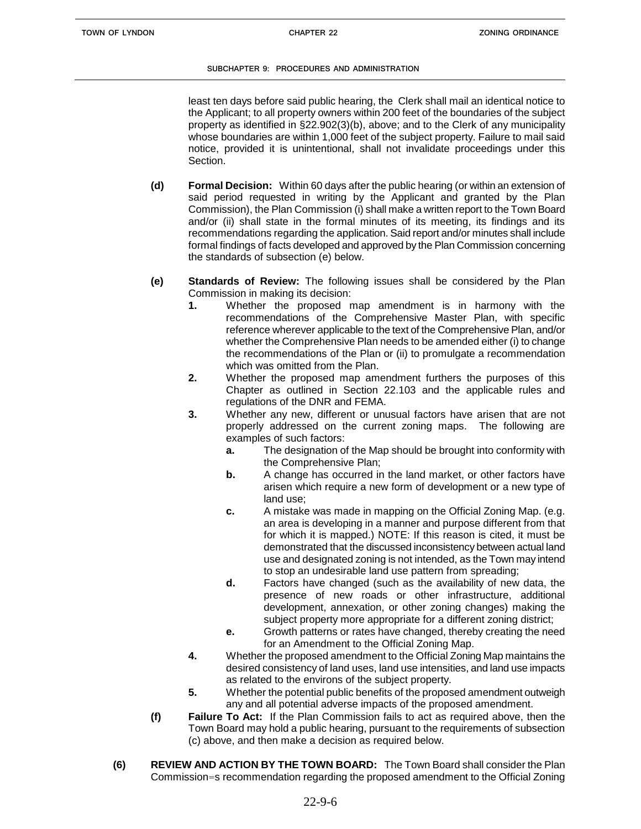least ten days before said public hearing, the Clerk shall mail an identical notice to the Applicant; to all property owners within 200 feet of the boundaries of the subject property as identified in §22.902(3)(b), above; and to the Clerk of any municipality whose boundaries are within 1,000 feet of the subject property. Failure to mail said notice, provided it is unintentional, shall not invalidate proceedings under this Section.

- **(d) Formal Decision:** Within 60 days after the public hearing (or within an extension of said period requested in writing by the Applicant and granted by the Plan Commission), the Plan Commission (i) shall make a written report to the Town Board and/or (ii) shall state in the formal minutes of its meeting, its findings and its recommendations regarding the application. Said report and/or minutes shall include formal findings of facts developed and approved by the Plan Commission concerning the standards of subsection (e) below.
- **(e) Standards of Review:** The following issues shall be considered by the Plan Commission in making its decision:
	- **1.** Whether the proposed map amendment is in harmony with the recommendations of the Comprehensive Master Plan, with specific reference wherever applicable to the text of the Comprehensive Plan, and/or whether the Comprehensive Plan needs to be amended either (i) to change the recommendations of the Plan or (ii) to promulgate a recommendation which was omitted from the Plan.
	- **2.** Whether the proposed map amendment furthers the purposes of this Chapter as outlined in Section 22.103 and the applicable rules and regulations of the DNR and FEMA.
	- **3.** Whether any new, different or unusual factors have arisen that are not properly addressed on the current zoning maps. The following are examples of such factors:
		- **a.** The designation of the Map should be brought into conformity with the Comprehensive Plan;
		- **b.** A change has occurred in the land market, or other factors have arisen which require a new form of development or a new type of land use;
		- **c.** A mistake was made in mapping on the Official Zoning Map. (e.g. an area is developing in a manner and purpose different from that for which it is mapped.) NOTE: If this reason is cited, it must be demonstrated that the discussed inconsistency between actual land use and designated zoning is not intended, as the Town may intend to stop an undesirable land use pattern from spreading;
		- **d.** Factors have changed (such as the availability of new data, the presence of new roads or other infrastructure, additional development, annexation, or other zoning changes) making the subject property more appropriate for a different zoning district;
		- **e.** Growth patterns or rates have changed, thereby creating the need for an Amendment to the Official Zoning Map.
	- **4.** Whether the proposed amendment to the Official Zoning Map maintains the desired consistency of land uses, land use intensities, and land use impacts as related to the environs of the subject property.
	- **5.** Whether the potential public benefits of the proposed amendment outweigh any and all potential adverse impacts of the proposed amendment.
- **(f) Failure To Act:** If the Plan Commission fails to act as required above, then the Town Board may hold a public hearing, pursuant to the requirements of subsection (c) above, and then make a decision as required below.
- **(6) REVIEW AND ACTION BY THE TOWN BOARD:** The Town Board shall consider the Plan Commission=s recommendation regarding the proposed amendment to the Official Zoning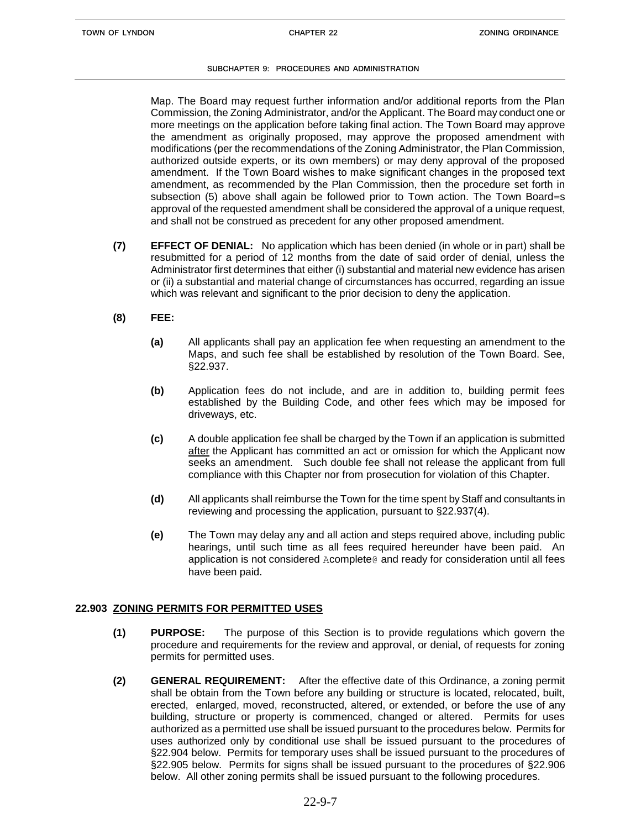Map. The Board may request further information and/or additional reports from the Plan Commission, the Zoning Administrator, and/or the Applicant. The Board may conduct one or more meetings on the application before taking final action. The Town Board may approve the amendment as originally proposed, may approve the proposed amendment with modifications (per the recommendations of the Zoning Administrator, the Plan Commission, authorized outside experts, or its own members) or may deny approval of the proposed amendment. If the Town Board wishes to make significant changes in the proposed text amendment, as recommended by the Plan Commission, then the procedure set forth in subsection (5) above shall again be followed prior to Town action. The Town Board=s approval of the requested amendment shall be considered the approval of a unique request, and shall not be construed as precedent for any other proposed amendment.

- **(7) EFFECT OF DENIAL:** No application which has been denied (in whole or in part) shall be resubmitted for a period of 12 months from the date of said order of denial, unless the Administrator first determines that either (i) substantial and material new evidence has arisen or (ii) a substantial and material change of circumstances has occurred, regarding an issue which was relevant and significant to the prior decision to deny the application.
- **(8) FEE:**
	- **(a)** All applicants shall pay an application fee when requesting an amendment to the Maps, and such fee shall be established by resolution of the Town Board. See, §22.937.
	- **(b)** Application fees do not include, and are in addition to, building permit fees established by the Building Code, and other fees which may be imposed for driveways, etc.
	- **(c)** A double application fee shall be charged by the Town if an application is submitted after the Applicant has committed an act or omission for which the Applicant now seeks an amendment. Such double fee shall not release the applicant from full compliance with this Chapter nor from prosecution for violation of this Chapter.
	- **(d)** All applicants shall reimburse the Town for the time spent by Staff and consultants in reviewing and processing the application, pursuant to §22.937(4).
	- **(e)** The Town may delay any and all action and steps required above, including public hearings, until such time as all fees required hereunder have been paid. An application is not considered Acomplete@ and ready for consideration until all fees have been paid.

## **22.903 ZONING PERMITS FOR PERMITTED USES**

- **(1) PURPOSE:** The purpose of this Section is to provide regulations which govern the procedure and requirements for the review and approval, or denial, of requests for zoning permits for permitted uses.
- **(2) GENERAL REQUIREMENT:** After the effective date of this Ordinance, a zoning permit shall be obtain from the Town before any building or structure is located, relocated, built, erected, enlarged, moved, reconstructed, altered, or extended, or before the use of any building, structure or property is commenced, changed or altered. Permits for uses authorized as a permitted use shall be issued pursuant to the procedures below. Permits for uses authorized only by conditional use shall be issued pursuant to the procedures of §22.904 below. Permits for temporary uses shall be issued pursuant to the procedures of §22.905 below. Permits for signs shall be issued pursuant to the procedures of §22.906 below. All other zoning permits shall be issued pursuant to the following procedures.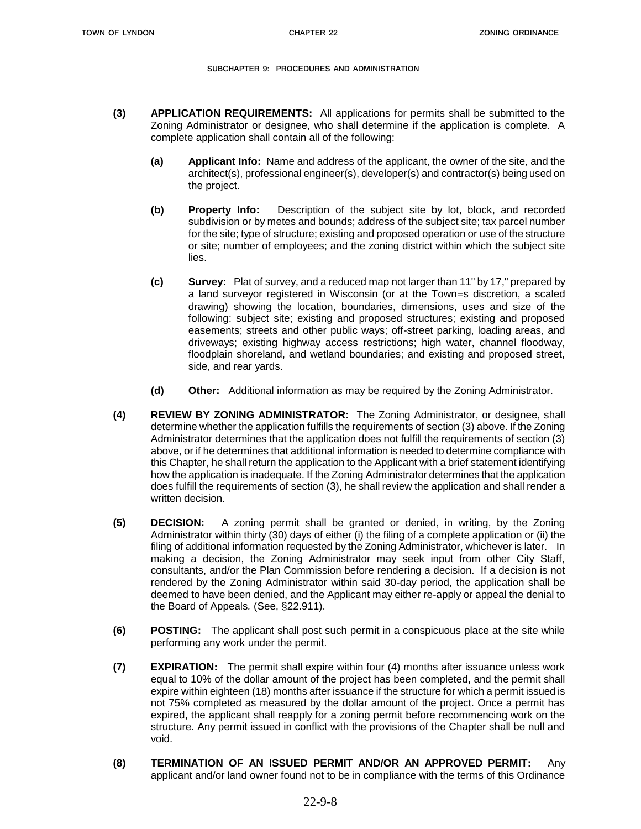- **(3) APPLICATION REQUIREMENTS:** All applications for permits shall be submitted to the Zoning Administrator or designee, who shall determine if the application is complete. A complete application shall contain all of the following:
	- **(a) Applicant Info:** Name and address of the applicant, the owner of the site, and the architect(s), professional engineer(s), developer(s) and contractor(s) being used on the project.
	- **(b) Property Info:** Description of the subject site by lot, block, and recorded subdivision or by metes and bounds; address of the subject site; tax parcel number for the site; type of structure; existing and proposed operation or use of the structure or site; number of employees; and the zoning district within which the subject site lies.
	- **(c) Survey:** Plat of survey, and a reduced map not larger than 11" by 17," prepared by a land surveyor registered in Wisconsin (or at the Town=s discretion, a scaled drawing) showing the location, boundaries, dimensions, uses and size of the following: subject site; existing and proposed structures; existing and proposed easements; streets and other public ways; off-street parking, loading areas, and driveways; existing highway access restrictions; high water, channel floodway, floodplain shoreland, and wetland boundaries; and existing and proposed street, side, and rear yards.
	- **(d) Other:** Additional information as may be required by the Zoning Administrator.
- **(4) REVIEW BY ZONING ADMINISTRATOR:** The Zoning Administrator, or designee, shall determine whether the application fulfills the requirements of section (3) above. If the Zoning Administrator determines that the application does not fulfill the requirements of section (3) above, or if he determines that additional information is needed to determine compliance with this Chapter, he shall return the application to the Applicant with a brief statement identifying how the application is inadequate. If the Zoning Administrator determines that the application does fulfill the requirements of section (3), he shall review the application and shall render a written decision.
- **(5) DECISION:** A zoning permit shall be granted or denied, in writing, by the Zoning Administrator within thirty (30) days of either (i) the filing of a complete application or (ii) the filing of additional information requested by the Zoning Administrator, whichever is later. In making a decision, the Zoning Administrator may seek input from other City Staff, consultants, and/or the Plan Commission before rendering a decision. If a decision is not rendered by the Zoning Administrator within said 30-day period, the application shall be deemed to have been denied, and the Applicant may either re-apply or appeal the denial to the Board of Appeals*.* (See, §22.911).
- **(6) POSTING:** The applicant shall post such permit in a conspicuous place at the site while performing any work under the permit.
- **(7) EXPIRATION:** The permit shall expire within four (4) months after issuance unless work equal to 10% of the dollar amount of the project has been completed, and the permit shall expire within eighteen (18) months after issuance if the structure for which a permit issued is not 75% completed as measured by the dollar amount of the project. Once a permit has expired, the applicant shall reapply for a zoning permit before recommencing work on the structure. Any permit issued in conflict with the provisions of the Chapter shall be null and void.
- **(8) TERMINATION OF AN ISSUED PERMIT AND/OR AN APPROVED PERMIT:** Any applicant and/or land owner found not to be in compliance with the terms of this Ordinance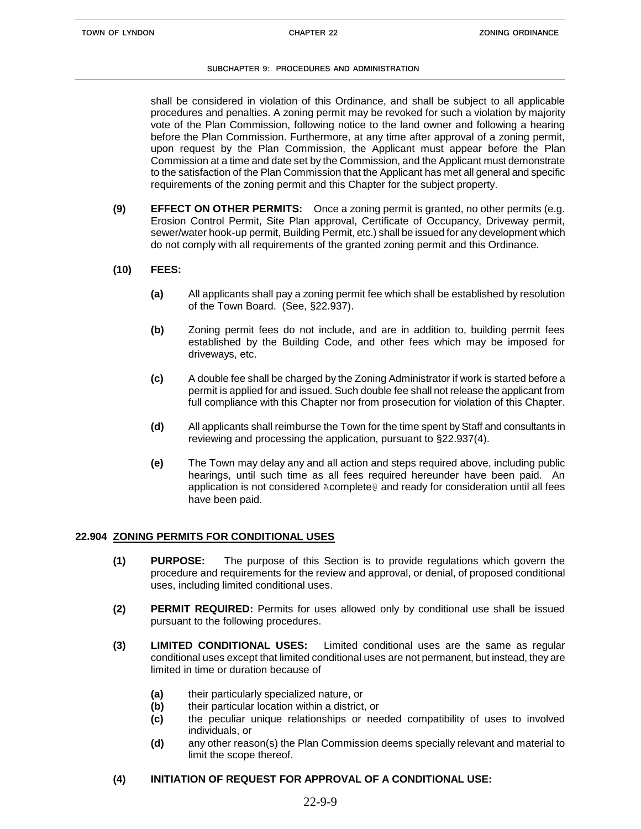shall be considered in violation of this Ordinance, and shall be subject to all applicable procedures and penalties. A zoning permit may be revoked for such a violation by majority vote of the Plan Commission, following notice to the land owner and following a hearing before the Plan Commission. Furthermore, at any time after approval of a zoning permit, upon request by the Plan Commission, the Applicant must appear before the Plan Commission at a time and date set by the Commission, and the Applicant must demonstrate to the satisfaction of the Plan Commission that the Applicant has met all general and specific requirements of the zoning permit and this Chapter for the subject property.

- **(9) EFFECT ON OTHER PERMITS:** Once a zoning permit is granted, no other permits (e.g. Erosion Control Permit, Site Plan approval, Certificate of Occupancy, Driveway permit, sewer/water hook-up permit, Building Permit, etc.) shall be issued for any development which do not comply with all requirements of the granted zoning permit and this Ordinance.
- **(10) FEES:**
	- **(a)** All applicants shall pay a zoning permit fee which shall be established by resolution of the Town Board. (See, §22.937).
	- **(b)** Zoning permit fees do not include, and are in addition to, building permit fees established by the Building Code, and other fees which may be imposed for driveways, etc.
	- **(c)** A double fee shall be charged by the Zoning Administrator if work is started before a permit is applied for and issued. Such double fee shall not release the applicant from full compliance with this Chapter nor from prosecution for violation of this Chapter.
	- **(d)** All applicants shall reimburse the Town for the time spent by Staff and consultants in reviewing and processing the application, pursuant to §22.937(4).
	- **(e)** The Town may delay any and all action and steps required above, including public hearings, until such time as all fees required hereunder have been paid. An application is not considered Acomplete@ and ready for consideration until all fees have been paid.

# **22.904 ZONING PERMITS FOR CONDITIONAL USES**

- **(1) PURPOSE:** The purpose of this Section is to provide regulations which govern the procedure and requirements for the review and approval, or denial, of proposed conditional uses, including limited conditional uses.
- **(2) PERMIT REQUIRED:** Permits for uses allowed only by conditional use shall be issued pursuant to the following procedures.
- **(3) LIMITED CONDITIONAL USES:** Limited conditional uses are the same as regular conditional uses except that limited conditional uses are not permanent, but instead, they are limited in time or duration because of
	- **(a)** their particularly specialized nature, or
	- **(b)** their particular location within a district, or
	- **(c)** the peculiar unique relationships or needed compatibility of uses to involved individuals, or
	- **(d)** any other reason(s) the Plan Commission deems specially relevant and material to limit the scope thereof.

# **(4) INITIATION OF REQUEST FOR APPROVAL OF A CONDITIONAL USE:**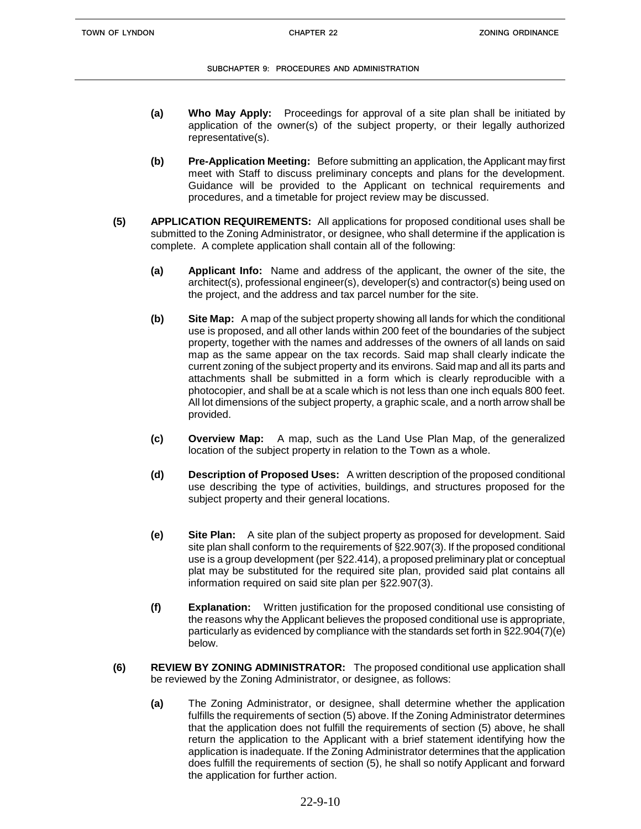- **(a) Who May Apply:** Proceedings for approval of a site plan shall be initiated by application of the owner(s) of the subject property, or their legally authorized representative(s).
- **(b) Pre-Application Meeting:** Before submitting an application, the Applicant may first meet with Staff to discuss preliminary concepts and plans for the development. Guidance will be provided to the Applicant on technical requirements and procedures, and a timetable for project review may be discussed.
- **(5) APPLICATION REQUIREMENTS:** All applications for proposed conditional uses shall be submitted to the Zoning Administrator, or designee, who shall determine if the application is complete. A complete application shall contain all of the following:
	- **(a) Applicant Info:** Name and address of the applicant, the owner of the site, the architect(s), professional engineer(s), developer(s) and contractor(s) being used on the project, and the address and tax parcel number for the site.
	- **(b) Site Map:** A map of the subject property showing all lands for which the conditional use is proposed, and all other lands within 200 feet of the boundaries of the subject property, together with the names and addresses of the owners of all lands on said map as the same appear on the tax records. Said map shall clearly indicate the current zoning of the subject property and its environs. Said map and all its parts and attachments shall be submitted in a form which is clearly reproducible with a photocopier, and shall be at a scale which is not less than one inch equals 800 feet. All lot dimensions of the subject property, a graphic scale, and a north arrow shall be provided.
	- **(c) Overview Map:** A map, such as the Land Use Plan Map, of the generalized location of the subject property in relation to the Town as a whole.
	- **(d) Description of Proposed Uses:** A written description of the proposed conditional use describing the type of activities, buildings, and structures proposed for the subject property and their general locations.
	- **(e) Site Plan:** A site plan of the subject property as proposed for development. Said site plan shall conform to the requirements of §22.907(3). If the proposed conditional use is a group development (per §22.414), a proposed preliminary plat or conceptual plat may be substituted for the required site plan, provided said plat contains all information required on said site plan per §22.907(3).
	- **(f) Explanation:** Written justification for the proposed conditional use consisting of the reasons why the Applicant believes the proposed conditional use is appropriate, particularly as evidenced by compliance with the standards set forth in §22.904(7)(e) below.
- **(6) REVIEW BY ZONING ADMINISTRATOR:** The proposed conditional use application shall be reviewed by the Zoning Administrator, or designee, as follows:
	- **(a)** The Zoning Administrator, or designee, shall determine whether the application fulfills the requirements of section (5) above. If the Zoning Administrator determines that the application does not fulfill the requirements of section (5) above, he shall return the application to the Applicant with a brief statement identifying how the application is inadequate. If the Zoning Administrator determines that the application does fulfill the requirements of section (5), he shall so notify Applicant and forward the application for further action.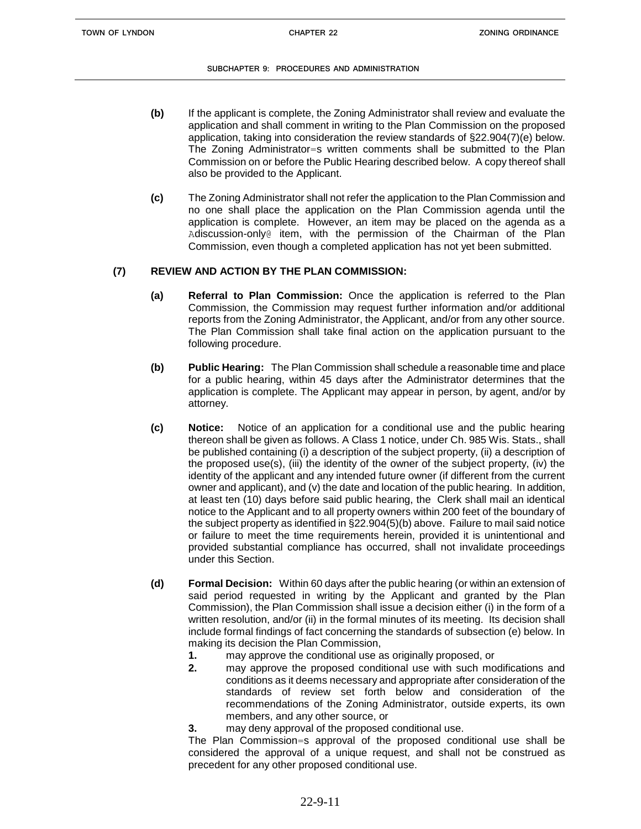- **(b)** If the applicant is complete, the Zoning Administrator shall review and evaluate the application and shall comment in writing to the Plan Commission on the proposed application, taking into consideration the review standards of §22.904(7)(e) below. The Zoning Administrator=s written comments shall be submitted to the Plan Commission on or before the Public Hearing described below. A copy thereof shall also be provided to the Applicant.
- **(c)** The Zoning Administrator shall not refer the application to the Plan Commission and no one shall place the application on the Plan Commission agenda until the application is complete. However, an item may be placed on the agenda as a Adiscussion-only@ item, with the permission of the Chairman of the Plan Commission, even though a completed application has not yet been submitted.

# **(7) REVIEW AND ACTION BY THE PLAN COMMISSION:**

- **(a) Referral to Plan Commission:** Once the application is referred to the Plan Commission, the Commission may request further information and/or additional reports from the Zoning Administrator, the Applicant, and/or from any other source. The Plan Commission shall take final action on the application pursuant to the following procedure.
- **(b) Public Hearing:** The Plan Commission shall schedule a reasonable time and place for a public hearing, within 45 days after the Administrator determines that the application is complete. The Applicant may appear in person, by agent, and/or by attorney.
- **(c) Notice:** Notice of an application for a conditional use and the public hearing thereon shall be given as follows. A Class 1 notice, under Ch. 985 Wis. Stats., shall be published containing (i) a description of the subject property, (ii) a description of the proposed use(s), (iii) the identity of the owner of the subject property, (iv) the identity of the applicant and any intended future owner (if different from the current owner and applicant), and (v) the date and location of the public hearing. In addition, at least ten (10) days before said public hearing, the Clerk shall mail an identical notice to the Applicant and to all property owners within 200 feet of the boundary of the subject property as identified in §22.904(5)(b) above. Failure to mail said notice or failure to meet the time requirements herein, provided it is unintentional and provided substantial compliance has occurred, shall not invalidate proceedings under this Section.
- **(d) Formal Decision:** Within 60 days after the public hearing (or within an extension of said period requested in writing by the Applicant and granted by the Plan Commission), the Plan Commission shall issue a decision either (i) in the form of a written resolution, and/or (ii) in the formal minutes of its meeting. Its decision shall include formal findings of fact concerning the standards of subsection (e) below. In making its decision the Plan Commission,
	- **1.** may approve the conditional use as originally proposed, or
	- **2.** may approve the proposed conditional use with such modifications and conditions as it deems necessary and appropriate after consideration of the standards of review set forth below and consideration of the recommendations of the Zoning Administrator, outside experts, its own members, and any other source, or
	- **3.** may deny approval of the proposed conditional use.

The Plan Commission=s approval of the proposed conditional use shall be considered the approval of a unique request, and shall not be construed as precedent for any other proposed conditional use.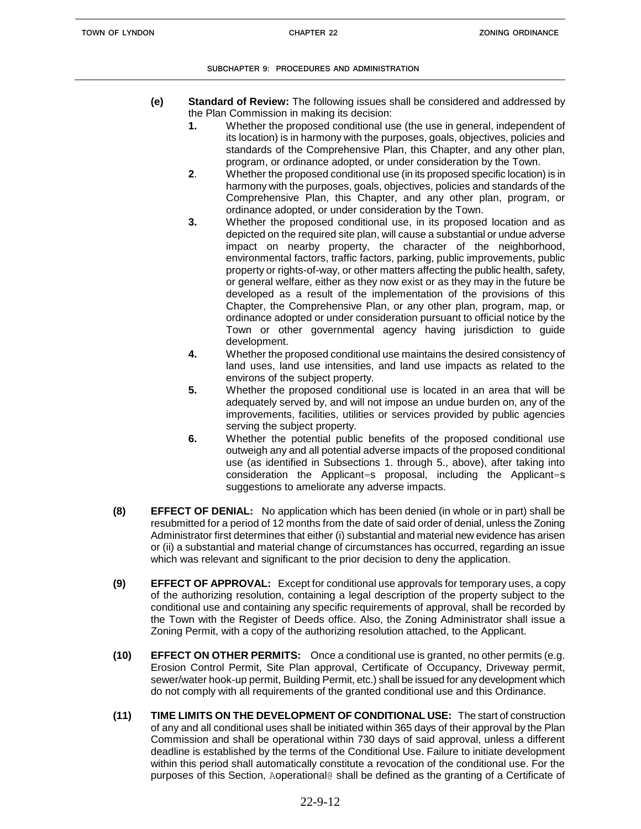- **(e) Standard of Review:** The following issues shall be considered and addressed by the Plan Commission in making its decision:
	- **1.** Whether the proposed conditional use (the use in general, independent of its location) is in harmony with the purposes, goals, objectives, policies and standards of the Comprehensive Plan, this Chapter, and any other plan, program, or ordinance adopted, or under consideration by the Town.
	- **2**. Whether the proposed conditional use (in its proposed specific location) is in harmony with the purposes, goals, objectives, policies and standards of the Comprehensive Plan, this Chapter, and any other plan, program, or ordinance adopted, or under consideration by the Town.
	- **3.** Whether the proposed conditional use, in its proposed location and as depicted on the required site plan, will cause a substantial or undue adverse impact on nearby property, the character of the neighborhood, environmental factors, traffic factors, parking, public improvements, public property or rights-of-way, or other matters affecting the public health, safety, or general welfare, either as they now exist or as they may in the future be developed as a result of the implementation of the provisions of this Chapter, the Comprehensive Plan, or any other plan, program, map, or ordinance adopted or under consideration pursuant to official notice by the Town or other governmental agency having jurisdiction to guide development.
	- **4.** Whether the proposed conditional use maintains the desired consistency of land uses, land use intensities, and land use impacts as related to the environs of the subject property.
	- **5.** Whether the proposed conditional use is located in an area that will be adequately served by, and will not impose an undue burden on, any of the improvements, facilities, utilities or services provided by public agencies serving the subject property.
	- **6.** Whether the potential public benefits of the proposed conditional use outweigh any and all potential adverse impacts of the proposed conditional use (as identified in Subsections 1. through 5., above), after taking into consideration the Applicant=s proposal, including the Applicant=s suggestions to ameliorate any adverse impacts.
- **(8) EFFECT OF DENIAL:** No application which has been denied (in whole or in part) shall be resubmitted for a period of 12 months from the date of said order of denial, unless the Zoning Administrator first determines that either (i) substantial and material new evidence has arisen or (ii) a substantial and material change of circumstances has occurred, regarding an issue which was relevant and significant to the prior decision to deny the application.
- **(9) EFFECT OF APPROVAL:** Except for conditional use approvals for temporary uses, a copy of the authorizing resolution, containing a legal description of the property subject to the conditional use and containing any specific requirements of approval, shall be recorded by the Town with the Register of Deeds office. Also, the Zoning Administrator shall issue a Zoning Permit, with a copy of the authorizing resolution attached, to the Applicant.
- **(10) EFFECT ON OTHER PERMITS:** Once a conditional use is granted, no other permits (e.g. Erosion Control Permit, Site Plan approval, Certificate of Occupancy, Driveway permit, sewer/water hook-up permit, Building Permit, etc.) shall be issued for any development which do not comply with all requirements of the granted conditional use and this Ordinance.
- **(11) TIME LIMITS ON THE DEVELOPMENT OF CONDITIONAL USE:** The start of construction of any and all conditional uses shall be initiated within 365 days of their approval by the Plan Commission and shall be operational within 730 days of said approval, unless a different deadline is established by the terms of the Conditional Use. Failure to initiate development within this period shall automatically constitute a revocation of the conditional use. For the purposes of this Section, Aoperational@ shall be defined as the granting of a Certificate of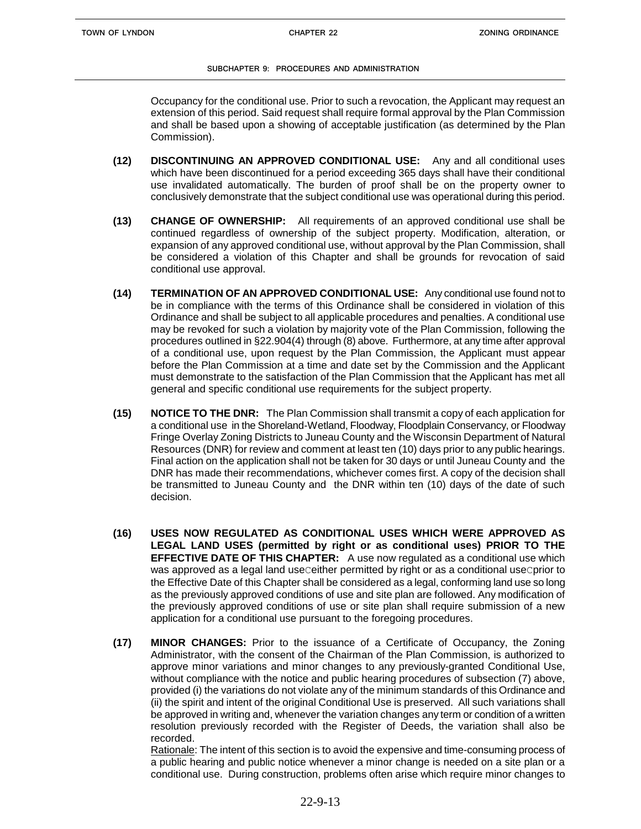Occupancy for the conditional use. Prior to such a revocation, the Applicant may request an extension of this period. Said request shall require formal approval by the Plan Commission and shall be based upon a showing of acceptable justification (as determined by the Plan Commission).

- **(12) DISCONTINUING AN APPROVED CONDITIONAL USE:** Any and all conditional uses which have been discontinued for a period exceeding 365 days shall have their conditional use invalidated automatically. The burden of proof shall be on the property owner to conclusively demonstrate that the subject conditional use was operational during this period.
- **(13) CHANGE OF OWNERSHIP:** All requirements of an approved conditional use shall be continued regardless of ownership of the subject property. Modification, alteration, or expansion of any approved conditional use, without approval by the Plan Commission, shall be considered a violation of this Chapter and shall be grounds for revocation of said conditional use approval.
- **(14) TERMINATION OF AN APPROVED CONDITIONAL USE:** Any conditional use found not to be in compliance with the terms of this Ordinance shall be considered in violation of this Ordinance and shall be subject to all applicable procedures and penalties. A conditional use may be revoked for such a violation by majority vote of the Plan Commission, following the procedures outlined in §22.904(4) through (8) above. Furthermore, at any time after approval of a conditional use, upon request by the Plan Commission, the Applicant must appear before the Plan Commission at a time and date set by the Commission and the Applicant must demonstrate to the satisfaction of the Plan Commission that the Applicant has met all general and specific conditional use requirements for the subject property.
- **(15) NOTICE TO THE DNR:** The Plan Commission shall transmit a copy of each application for a conditional use in the Shoreland-Wetland, Floodway, Floodplain Conservancy, or Floodway Fringe Overlay Zoning Districts to Juneau County and the Wisconsin Department of Natural Resources (DNR) for review and comment at least ten (10) days prior to any public hearings. Final action on the application shall not be taken for 30 days or until Juneau County and the DNR has made their recommendations, whichever comes first. A copy of the decision shall be transmitted to Juneau County and the DNR within ten (10) days of the date of such decision.
- **(16) USES NOW REGULATED AS CONDITIONAL USES WHICH WERE APPROVED AS LEGAL LAND USES (permitted by right or as conditional uses) PRIOR TO THE EFFECTIVE DATE OF THIS CHAPTER:** A use now regulated as a conditional use which was approved as a legal land useceither permitted by right or as a conditional usecprior to the Effective Date of this Chapter shall be considered as a legal, conforming land use so long as the previously approved conditions of use and site plan are followed. Any modification of the previously approved conditions of use or site plan shall require submission of a new application for a conditional use pursuant to the foregoing procedures.
- **(17) MINOR CHANGES:** Prior to the issuance of a Certificate of Occupancy, the Zoning Administrator, with the consent of the Chairman of the Plan Commission, is authorized to approve minor variations and minor changes to any previously-granted Conditional Use, without compliance with the notice and public hearing procedures of subsection (7) above, provided (i) the variations do not violate any of the minimum standards of this Ordinance and (ii) the spirit and intent of the original Conditional Use is preserved. All such variations shall be approved in writing and, whenever the variation changes any term or condition of a written resolution previously recorded with the Register of Deeds, the variation shall also be recorded.

Rationale: The intent of this section is to avoid the expensive and time-consuming process of a public hearing and public notice whenever a minor change is needed on a site plan or a conditional use. During construction, problems often arise which require minor changes to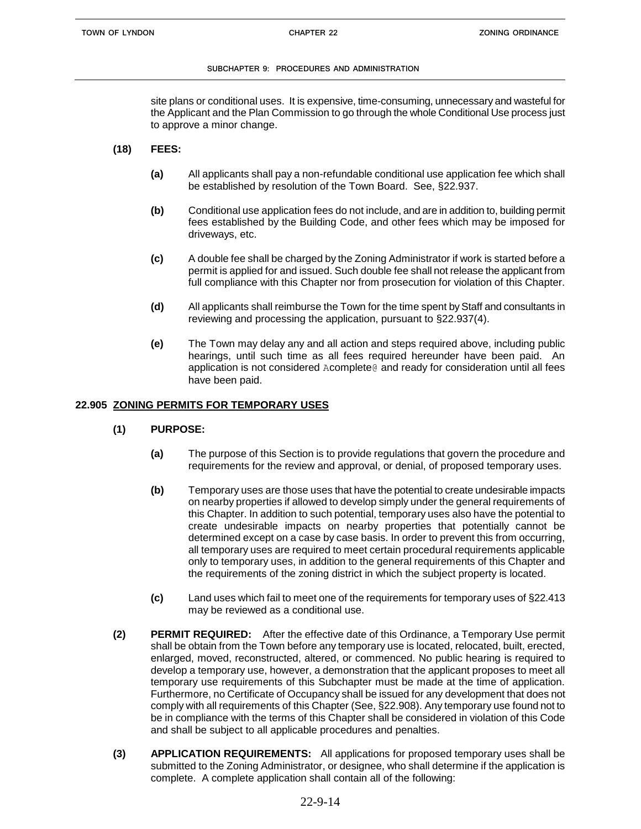site plans or conditional uses. It is expensive, time-consuming, unnecessary and wasteful for the Applicant and the Plan Commission to go through the whole Conditional Use process just to approve a minor change.

## **(18) FEES:**

- **(a)** All applicants shall pay a non-refundable conditional use application fee which shall be established by resolution of the Town Board. See, §22.937.
- **(b)** Conditional use application fees do not include, and are in addition to, building permit fees established by the Building Code, and other fees which may be imposed for driveways, etc.
- **(c)** A double fee shall be charged by the Zoning Administrator if work is started before a permit is applied for and issued. Such double fee shall not release the applicant from full compliance with this Chapter nor from prosecution for violation of this Chapter.
- **(d)** All applicants shall reimburse the Town for the time spent by Staff and consultants in reviewing and processing the application, pursuant to §22.937(4).
- **(e)** The Town may delay any and all action and steps required above, including public hearings, until such time as all fees required hereunder have been paid. An application is not considered Acomplete@ and ready for consideration until all fees have been paid.

## **22.905 ZONING PERMITS FOR TEMPORARY USES**

- **(1) PURPOSE:**
	- **(a)** The purpose of this Section is to provide regulations that govern the procedure and requirements for the review and approval, or denial, of proposed temporary uses.
	- **(b)** Temporary uses are those uses that have the potential to create undesirable impacts on nearby properties if allowed to develop simply under the general requirements of this Chapter. In addition to such potential, temporary uses also have the potential to create undesirable impacts on nearby properties that potentially cannot be determined except on a case by case basis. In order to prevent this from occurring, all temporary uses are required to meet certain procedural requirements applicable only to temporary uses, in addition to the general requirements of this Chapter and the requirements of the zoning district in which the subject property is located.
	- **(c)** Land uses which fail to meet one of the requirements for temporary uses of §22.413 may be reviewed as a conditional use.
- **(2) PERMIT REQUIRED:** After the effective date of this Ordinance, a Temporary Use permit shall be obtain from the Town before any temporary use is located, relocated, built, erected, enlarged, moved, reconstructed, altered, or commenced. No public hearing is required to develop a temporary use, however, a demonstration that the applicant proposes to meet all temporary use requirements of this Subchapter must be made at the time of application. Furthermore, no Certificate of Occupancy shall be issued for any development that does not comply with all requirements of this Chapter (See, §22.908). Any temporary use found not to be in compliance with the terms of this Chapter shall be considered in violation of this Code and shall be subject to all applicable procedures and penalties.
- **(3) APPLICATION REQUIREMENTS:** All applications for proposed temporary uses shall be submitted to the Zoning Administrator, or designee, who shall determine if the application is complete. A complete application shall contain all of the following: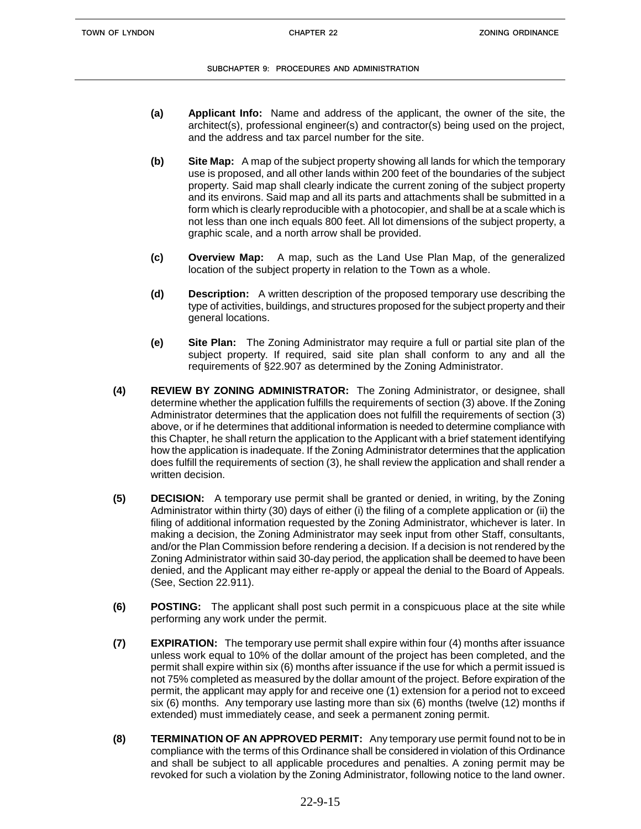- **(a) Applicant Info:** Name and address of the applicant, the owner of the site, the architect(s), professional engineer(s) and contractor(s) being used on the project, and the address and tax parcel number for the site.
- **(b) Site Map:** A map of the subject property showing all lands for which the temporary use is proposed, and all other lands within 200 feet of the boundaries of the subject property. Said map shall clearly indicate the current zoning of the subject property and its environs. Said map and all its parts and attachments shall be submitted in a form which is clearly reproducible with a photocopier, and shall be at a scale which is not less than one inch equals 800 feet. All lot dimensions of the subject property, a graphic scale, and a north arrow shall be provided.
- **(c) Overview Map:** A map, such as the Land Use Plan Map, of the generalized location of the subject property in relation to the Town as a whole.
- **(d) Description:** A written description of the proposed temporary use describing the type of activities, buildings, and structures proposed for the subject property and their general locations.
- **(e) Site Plan:** The Zoning Administrator may require a full or partial site plan of the subject property. If required, said site plan shall conform to any and all the requirements of §22.907 as determined by the Zoning Administrator.
- **(4) REVIEW BY ZONING ADMINISTRATOR:** The Zoning Administrator, or designee, shall determine whether the application fulfills the requirements of section (3) above. If the Zoning Administrator determines that the application does not fulfill the requirements of section (3) above, or if he determines that additional information is needed to determine compliance with this Chapter, he shall return the application to the Applicant with a brief statement identifying how the application is inadequate. If the Zoning Administrator determines that the application does fulfill the requirements of section (3), he shall review the application and shall render a written decision.
- **(5) DECISION:** A temporary use permit shall be granted or denied, in writing, by the Zoning Administrator within thirty (30) days of either (i) the filing of a complete application or (ii) the filing of additional information requested by the Zoning Administrator, whichever is later. In making a decision, the Zoning Administrator may seek input from other Staff, consultants, and/or the Plan Commission before rendering a decision. If a decision is not rendered by the Zoning Administrator within said 30-day period, the application shall be deemed to have been denied, and the Applicant may either re-apply or appeal the denial to the Board of Appeals*.*  (See, Section 22.911).
- **(6) POSTING:** The applicant shall post such permit in a conspicuous place at the site while performing any work under the permit.
- **(7) EXPIRATION:** The temporary use permit shall expire within four (4) months after issuance unless work equal to 10% of the dollar amount of the project has been completed, and the permit shall expire within six (6) months after issuance if the use for which a permit issued is not 75% completed as measured by the dollar amount of the project. Before expiration of the permit, the applicant may apply for and receive one (1) extension for a period not to exceed six (6) months. Any temporary use lasting more than six (6) months (twelve (12) months if extended) must immediately cease, and seek a permanent zoning permit.
- **(8) TERMINATION OF AN APPROVED PERMIT:** Any temporary use permit found not to be in compliance with the terms of this Ordinance shall be considered in violation of this Ordinance and shall be subject to all applicable procedures and penalties. A zoning permit may be revoked for such a violation by the Zoning Administrator, following notice to the land owner.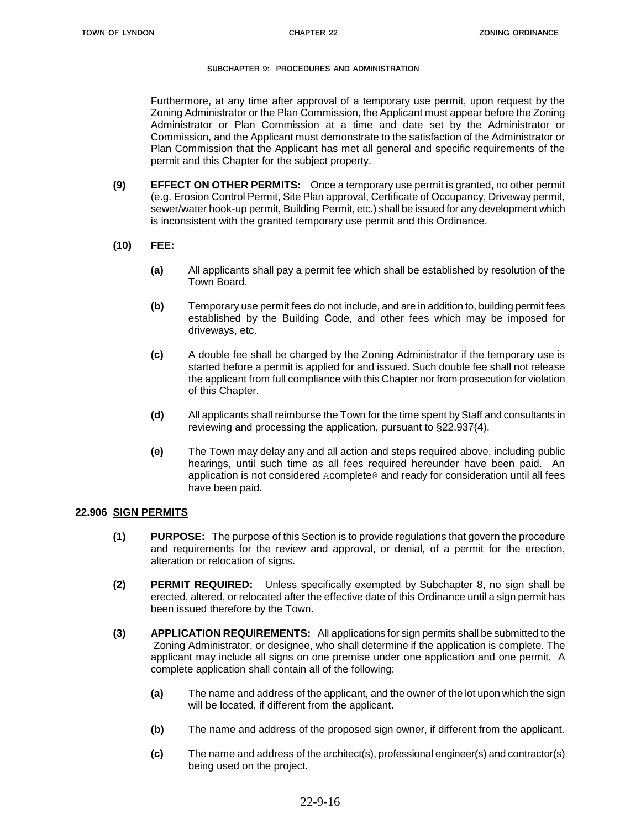Furthermore, at any time after approval of a temporary use permit, upon request by the Zoning Administrator or the Plan Commission, the Applicant must appear before the Zoning Administrator or Plan Commission at a time and date set by the Administrator or Commission, and the Applicant must demonstrate to the satisfaction of the Administrator or Plan Commission that the Applicant has met all general and specific requirements of the permit and this Chapter for the subject property.

- **(9) EFFECT ON OTHER PERMITS:** Once a temporary use permit is granted, no other permit (e.g. Erosion Control Permit, Site Plan approval, Certificate of Occupancy, Driveway permit, sewer/water hook-up permit, Building Permit, etc.) shall be issued for any development which is inconsistent with the granted temporary use permit and this Ordinance.
- **(10) FEE:**
	- **(a)** All applicants shall pay a permit fee which shall be established by resolution of the Town Board.
	- **(b)** Temporary use permit fees do not include, and are in addition to, building permit fees established by the Building Code, and other fees which may be imposed for driveways, etc.
	- **(c)** A double fee shall be charged by the Zoning Administrator if the temporary use is started before a permit is applied for and issued. Such double fee shall not release the applicant from full compliance with this Chapter nor from prosecution for violation of this Chapter.
	- **(d)** All applicants shall reimburse the Town for the time spent by Staff and consultants in reviewing and processing the application, pursuant to §22.937(4).
	- **(e)** The Town may delay any and all action and steps required above, including public hearings, until such time as all fees required hereunder have been paid. An application is not considered Acomplete@ and ready for consideration until all fees have been paid.

## **22.906 SIGN PERMITS**

- **(1) PURPOSE:** The purpose of this Section is to provide regulations that govern the procedure and requirements for the review and approval, or denial, of a permit for the erection, alteration or relocation of signs.
- **(2) PERMIT REQUIRED:** Unless specifically exempted by Subchapter 8, no sign shall be erected, altered, or relocated after the effective date of this Ordinance until a sign permit has been issued therefore by the Town.
- **(3) APPLICATION REQUIREMENTS:** All applications for sign permits shall be submitted to the Zoning Administrator, or designee, who shall determine if the application is complete. The applicant may include all signs on one premise under one application and one permit. A complete application shall contain all of the following:
	- **(a)** The name and address of the applicant, and the owner of the lot upon which the sign will be located, if different from the applicant.
	- **(b)** The name and address of the proposed sign owner, if different from the applicant.
	- **(c)** The name and address of the architect(s), professional engineer(s) and contractor(s) being used on the project.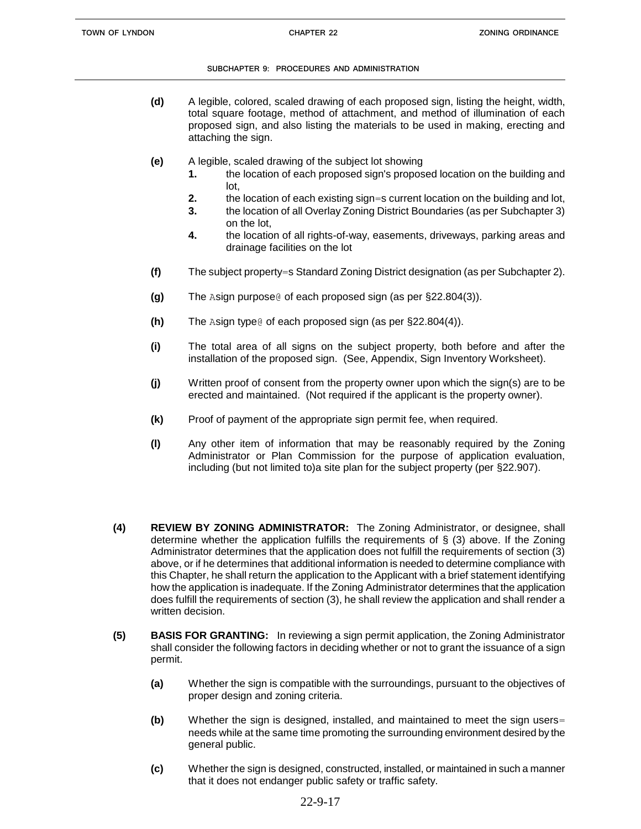- **(d)** A legible, colored, scaled drawing of each proposed sign, listing the height, width, total square footage, method of attachment, and method of illumination of each proposed sign, and also listing the materials to be used in making, erecting and attaching the sign.
- **(e)** A legible, scaled drawing of the subject lot showing
	- **1.** the location of each proposed sign's proposed location on the building and lot,
	- **2.** the location of each existing sign=s current location on the building and lot,
	- **3.** the location of all Overlay Zoning District Boundaries (as per Subchapter 3) on the lot,
	- **4.** the location of all rights-of-way, easements, driveways, parking areas and drainage facilities on the lot
- **(f)** The subject property=s Standard Zoning District designation (as per Subchapter 2).
- **(g)** The Asign purpose@ of each proposed sign (as per §22.804(3)).
- **(h)** The Asign type@ of each proposed sign (as per §22.804(4)).
- **(i)** The total area of all signs on the subject property, both before and after the installation of the proposed sign. (See, Appendix, Sign Inventory Worksheet).
- **(j)** Written proof of consent from the property owner upon which the sign(s) are to be erected and maintained. (Not required if the applicant is the property owner).
- **(k)** Proof of payment of the appropriate sign permit fee, when required.
- **(l)** Any other item of information that may be reasonably required by the Zoning Administrator or Plan Commission for the purpose of application evaluation, including (but not limited to)a site plan for the subject property (per §22.907).
- **(4) REVIEW BY ZONING ADMINISTRATOR:** The Zoning Administrator, or designee, shall determine whether the application fulfills the requirements of  $\S$  (3) above. If the Zoning Administrator determines that the application does not fulfill the requirements of section (3) above, or if he determines that additional information is needed to determine compliance with this Chapter, he shall return the application to the Applicant with a brief statement identifying how the application is inadequate. If the Zoning Administrator determines that the application does fulfill the requirements of section (3), he shall review the application and shall render a written decision.
- **(5) BASIS FOR GRANTING:** In reviewing a sign permit application, the Zoning Administrator shall consider the following factors in deciding whether or not to grant the issuance of a sign permit.
	- **(a)** Whether the sign is compatible with the surroundings, pursuant to the objectives of proper design and zoning criteria.
	- **(b)** Whether the sign is designed, installed, and maintained to meet the sign users= needs while at the same time promoting the surrounding environment desired by the general public.
	- **(c)** Whether the sign is designed, constructed, installed, or maintained in such a manner that it does not endanger public safety or traffic safety.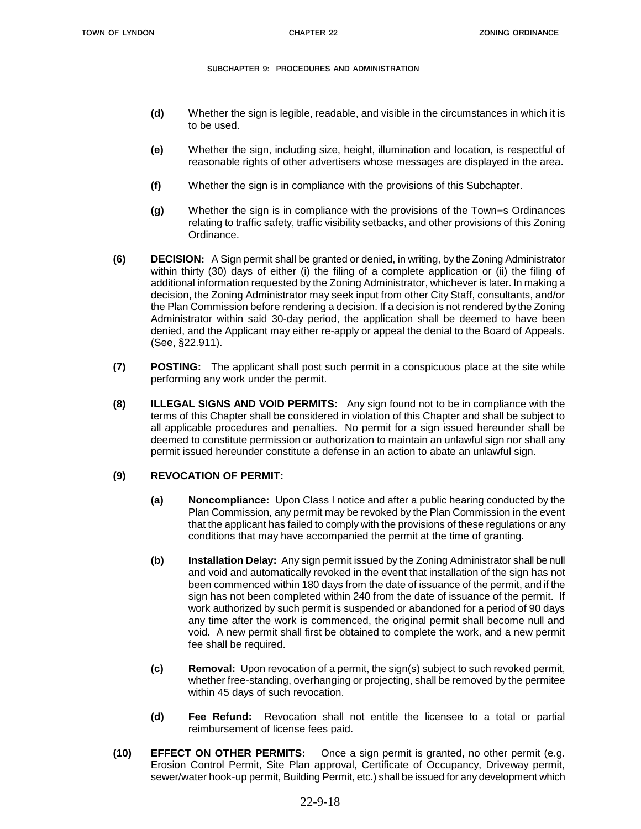- **(d)** Whether the sign is legible, readable, and visible in the circumstances in which it is to be used.
- **(e)** Whether the sign, including size, height, illumination and location, is respectful of reasonable rights of other advertisers whose messages are displayed in the area.
- **(f)** Whether the sign is in compliance with the provisions of this Subchapter.
- **(g)** Whether the sign is in compliance with the provisions of the Town=s Ordinances relating to traffic safety, traffic visibility setbacks, and other provisions of this Zoning Ordinance.
- **(6) DECISION:** A Sign permit shall be granted or denied, in writing, by the Zoning Administrator within thirty (30) days of either (i) the filing of a complete application or (ii) the filing of additional information requested by the Zoning Administrator, whichever is later. In making a decision, the Zoning Administrator may seek input from other City Staff, consultants, and/or the Plan Commission before rendering a decision. If a decision is not rendered by the Zoning Administrator within said 30-day period, the application shall be deemed to have been denied, and the Applicant may either re-apply or appeal the denial to the Board of Appeals*.*  (See, §22.911).
- **(7) POSTING:** The applicant shall post such permit in a conspicuous place at the site while performing any work under the permit.
- **(8) ILLEGAL SIGNS AND VOID PERMITS:** Any sign found not to be in compliance with the terms of this Chapter shall be considered in violation of this Chapter and shall be subject to all applicable procedures and penalties. No permit for a sign issued hereunder shall be deemed to constitute permission or authorization to maintain an unlawful sign nor shall any permit issued hereunder constitute a defense in an action to abate an unlawful sign.

# **(9) REVOCATION OF PERMIT:**

- **(a) Noncompliance:** Upon Class I notice and after a public hearing conducted by the Plan Commission, any permit may be revoked by the Plan Commission in the event that the applicant has failed to comply with the provisions of these regulations or any conditions that may have accompanied the permit at the time of granting.
- **(b) Installation Delay:** Any sign permit issued by the Zoning Administrator shall be null and void and automatically revoked in the event that installation of the sign has not been commenced within 180 days from the date of issuance of the permit, and if the sign has not been completed within 240 from the date of issuance of the permit. If work authorized by such permit is suspended or abandoned for a period of 90 days any time after the work is commenced, the original permit shall become null and void. A new permit shall first be obtained to complete the work, and a new permit fee shall be required.
- **(c) Removal:** Upon revocation of a permit, the sign(s) subject to such revoked permit, whether free-standing, overhanging or projecting, shall be removed by the permitee within 45 days of such revocation.
- **(d) Fee Refund:** Revocation shall not entitle the licensee to a total or partial reimbursement of license fees paid.
- **(10) EFFECT ON OTHER PERMITS:** Once a sign permit is granted, no other permit (e.g. Erosion Control Permit, Site Plan approval, Certificate of Occupancy, Driveway permit, sewer/water hook-up permit, Building Permit, etc.) shall be issued for any development which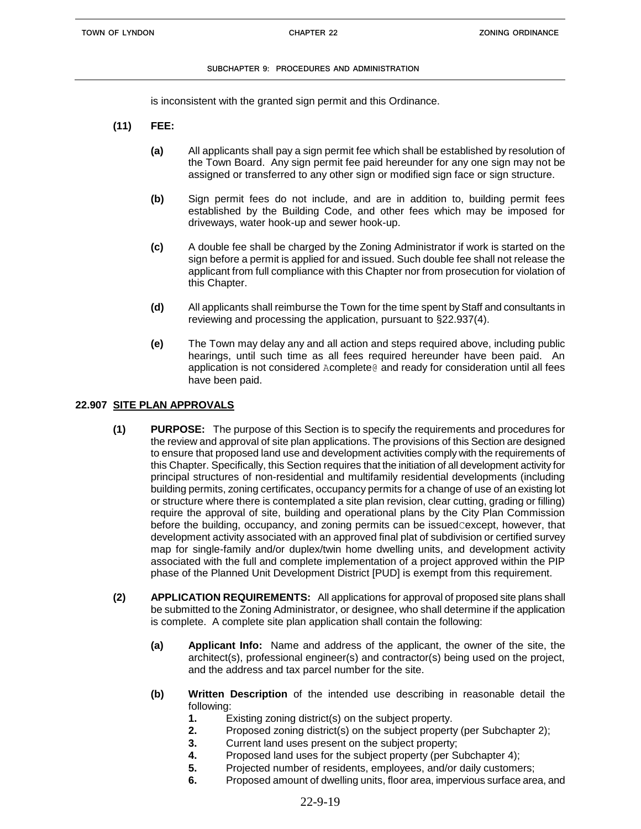is inconsistent with the granted sign permit and this Ordinance.

- **(11) FEE:**
	- **(a)** All applicants shall pay a sign permit fee which shall be established by resolution of the Town Board. Any sign permit fee paid hereunder for any one sign may not be assigned or transferred to any other sign or modified sign face or sign structure.
	- **(b)** Sign permit fees do not include, and are in addition to, building permit fees established by the Building Code, and other fees which may be imposed for driveways, water hook-up and sewer hook-up.
	- **(c)** A double fee shall be charged by the Zoning Administrator if work is started on the sign before a permit is applied for and issued. Such double fee shall not release the applicant from full compliance with this Chapter nor from prosecution for violation of this Chapter.
	- **(d)** All applicants shall reimburse the Town for the time spent by Staff and consultants in reviewing and processing the application, pursuant to §22.937(4).
	- **(e)** The Town may delay any and all action and steps required above, including public hearings, until such time as all fees required hereunder have been paid. An application is not considered Acomplete@ and ready for consideration until all fees have been paid.

## **22.907 SITE PLAN APPROVALS**

- **(1) PURPOSE:** The purpose of this Section is to specify the requirements and procedures for the review and approval of site plan applications. The provisions of this Section are designed to ensure that proposed land use and development activities comply with the requirements of this Chapter. Specifically, this Section requires that the initiation of all development activity for principal structures of non-residential and multifamily residential developments (including building permits, zoning certificates, occupancy permits for a change of use of an existing lot or structure where there is contemplated a site plan revision, clear cutting, grading or filling) require the approval of site, building and operational plans by the City Plan Commission before the building, occupancy, and zoning permits can be issuedCexcept, however, that development activity associated with an approved final plat of subdivision or certified survey map for single-family and/or duplex/twin home dwelling units, and development activity associated with the full and complete implementation of a project approved within the PIP phase of the Planned Unit Development District [PUD] is exempt from this requirement.
- **(2) APPLICATION REQUIREMENTS:** All applications for approval of proposed site plans shall be submitted to the Zoning Administrator, or designee, who shall determine if the application is complete. A complete site plan application shall contain the following:
	- **(a) Applicant Info:** Name and address of the applicant, the owner of the site, the architect(s), professional engineer(s) and contractor(s) being used on the project, and the address and tax parcel number for the site.
	- **(b) Written Description** of the intended use describing in reasonable detail the following:
		- **1.** Existing zoning district(s) on the subject property.
		- **2.** Proposed zoning district(s) on the subject property (per Subchapter 2);
		- **3.** Current land uses present on the subject property;
		- **4.** Proposed land uses for the subject property (per Subchapter 4);
		- **5.** Projected number of residents, employees, and/or daily customers;
		- **6.** Proposed amount of dwelling units, floor area, impervious surface area, and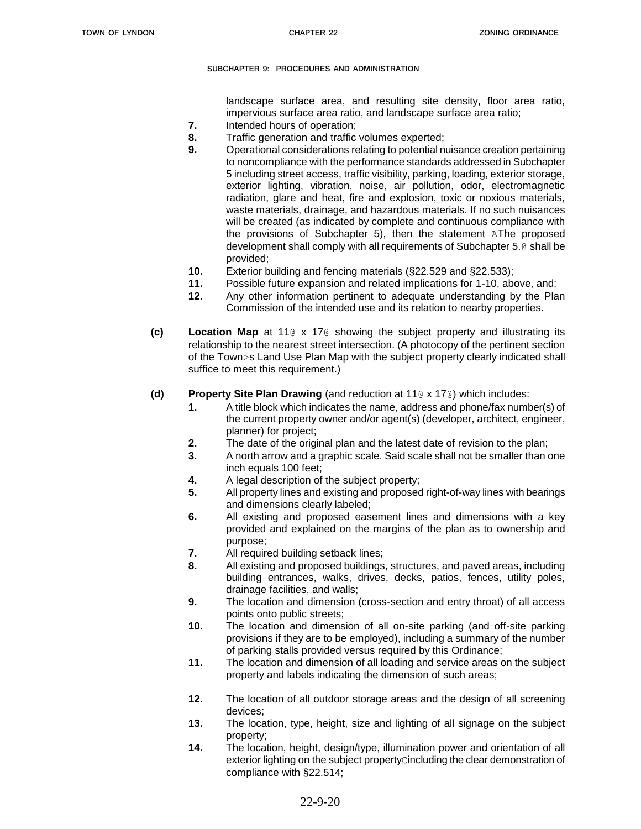landscape surface area, and resulting site density, floor area ratio, impervious surface area ratio, and landscape surface area ratio;

- **7.** Intended hours of operation;
- **8.** Traffic generation and traffic volumes experted;
- **9.** Operational considerations relating to potential nuisance creation pertaining to noncompliance with the performance standards addressed in Subchapter 5 including street access, traffic visibility, parking, loading, exterior storage, exterior lighting, vibration, noise, air pollution, odor, electromagnetic radiation, glare and heat, fire and explosion, toxic or noxious materials, waste materials, drainage, and hazardous materials. If no such nuisances will be created (as indicated by complete and continuous compliance with the provisions of Subchapter 5), then the statement AThe proposed development shall comply with all requirements of Subchapter 5.@ shall be provided;
- **10.** Exterior building and fencing materials (§22.529 and §22.533);
- **11.** Possible future expansion and related implications for 1-10, above, and:
- **12.** Any other information pertinent to adequate understanding by the Plan Commission of the intended use and its relation to nearby properties.
- **(c) Location Map** at 11@ x 17@ showing the subject property and illustrating its relationship to the nearest street intersection. (A photocopy of the pertinent section of the Town>s Land Use Plan Map with the subject property clearly indicated shall suffice to meet this requirement.)
- **(d) Property Site Plan Drawing** (and reduction at 11@ x 17@) which includes:
	- **1.** A title block which indicates the name, address and phone/fax number(s) of the current property owner and/or agent(s) (developer, architect, engineer, planner) for project;
	- **2.** The date of the original plan and the latest date of revision to the plan;
	- **3.** A north arrow and a graphic scale. Said scale shall not be smaller than one inch equals 100 feet;
	- **4.** A legal description of the subject property;
	- **5.** All property lines and existing and proposed right-of-way lines with bearings and dimensions clearly labeled;
	- **6.** All existing and proposed easement lines and dimensions with a key provided and explained on the margins of the plan as to ownership and purpose;
	- **7.** All required building setback lines;
	- **8.** All existing and proposed buildings, structures, and paved areas, including building entrances, walks, drives, decks, patios, fences, utility poles, drainage facilities, and walls;
	- **9.** The location and dimension (cross-section and entry throat) of all access points onto public streets;
	- **10.** The location and dimension of all on-site parking (and off-site parking provisions if they are to be employed), including a summary of the number of parking stalls provided versus required by this Ordinance;
	- **11.** The location and dimension of all loading and service areas on the subject property and labels indicating the dimension of such areas;
	- **12.** The location of all outdoor storage areas and the design of all screening devices;
	- **13.** The location, type, height, size and lighting of all signage on the subject property;
	- **14.** The location, height, design/type, illumination power and orientation of all exterior lighting on the subject property cincluding the clear demonstration of compliance with §22.514;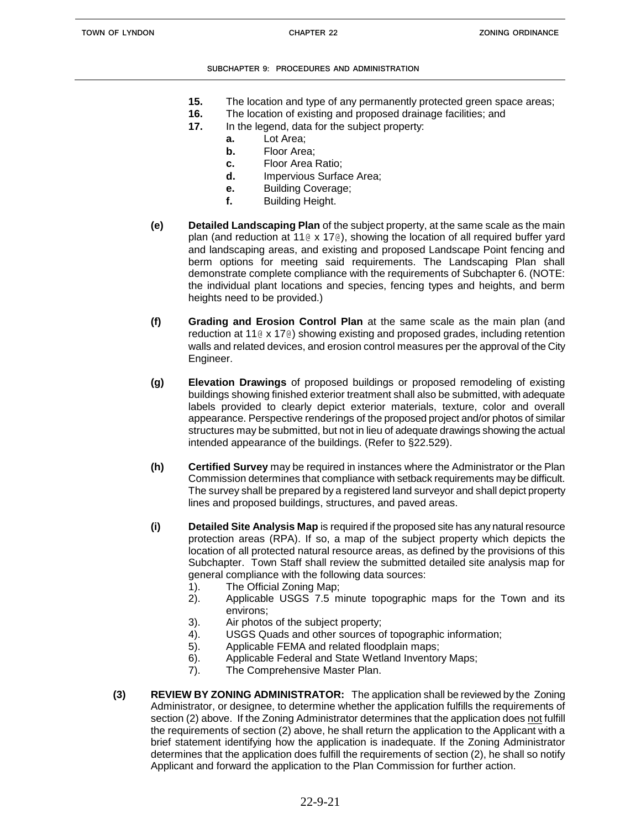- **15.** The location and type of any permanently protected green space areas;
- **16.** The location of existing and proposed drainage facilities; and
- **17.** In the legend, data for the subject property:
	- **a.** Lot Area;
	- **b.** Floor Area;
	- **c.** Floor Area Ratio;
	- **d.** Impervious Surface Area;
	- **e.** Building Coverage;
	- **f.** Building Height.
- **(e) Detailed Landscaping Plan** of the subject property, at the same scale as the main plan (and reduction at 11 $\alpha \times 17\alpha$ ), showing the location of all required buffer yard and landscaping areas, and existing and proposed Landscape Point fencing and berm options for meeting said requirements. The Landscaping Plan shall demonstrate complete compliance with the requirements of Subchapter 6. (NOTE: the individual plant locations and species, fencing types and heights, and berm heights need to be provided.)
- **(f) Grading and Erosion Control Plan** at the same scale as the main plan (and reduction at 11@ x 17@) showing existing and proposed grades, including retention walls and related devices, and erosion control measures per the approval of the City Engineer.
- **(g) Elevation Drawings** of proposed buildings or proposed remodeling of existing buildings showing finished exterior treatment shall also be submitted, with adequate labels provided to clearly depict exterior materials, texture, color and overall appearance. Perspective renderings of the proposed project and/or photos of similar structures may be submitted, but not in lieu of adequate drawings showing the actual intended appearance of the buildings. (Refer to §22.529).
- **(h) Certified Survey** may be required in instances where the Administrator or the Plan Commission determines that compliance with setback requirements may be difficult. The survey shall be prepared by a registered land surveyor and shall depict property lines and proposed buildings, structures, and paved areas.
- **(i) Detailed Site Analysis Map** is required if the proposed site has any natural resource protection areas (RPA). If so, a map of the subject property which depicts the location of all protected natural resource areas, as defined by the provisions of this Subchapter. Town Staff shall review the submitted detailed site analysis map for general compliance with the following data sources:
	- 1). The Official Zoning Map;
	- 2). Applicable USGS 7.5 minute topographic maps for the Town and its environs;
	- 3). Air photos of the subject property;
	- 4). USGS Quads and other sources of topographic information;
	- 5). Applicable FEMA and related floodplain maps;
	- 6). Applicable Federal and State Wetland Inventory Maps;
	- 7). The Comprehensive Master Plan.
- **(3) REVIEW BY ZONING ADMINISTRATOR:** The application shall be reviewed by the Zoning Administrator, or designee, to determine whether the application fulfills the requirements of section (2) above. If the Zoning Administrator determines that the application does not fulfill the requirements of section (2) above, he shall return the application to the Applicant with a brief statement identifying how the application is inadequate. If the Zoning Administrator determines that the application does fulfill the requirements of section (2), he shall so notify Applicant and forward the application to the Plan Commission for further action.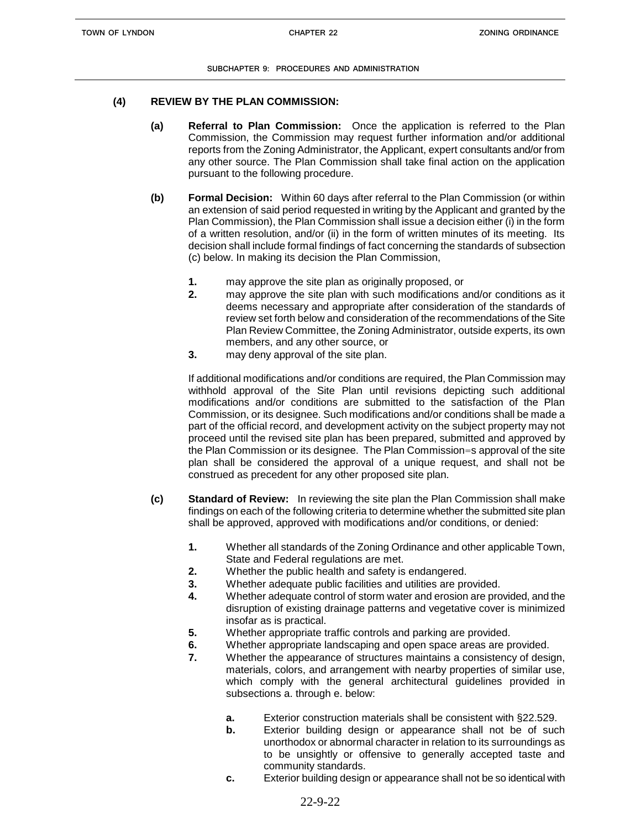### **(4) REVIEW BY THE PLAN COMMISSION:**

- **(a) Referral to Plan Commission:** Once the application is referred to the Plan Commission, the Commission may request further information and/or additional reports from the Zoning Administrator, the Applicant, expert consultants and/or from any other source. The Plan Commission shall take final action on the application pursuant to the following procedure.
- **(b) Formal Decision:** Within 60 days after referral to the Plan Commission (or within an extension of said period requested in writing by the Applicant and granted by the Plan Commission), the Plan Commission shall issue a decision either (i) in the form of a written resolution, and/or (ii) in the form of written minutes of its meeting. Its decision shall include formal findings of fact concerning the standards of subsection (c) below. In making its decision the Plan Commission,
	- **1.** may approve the site plan as originally proposed, or
	- **2.** may approve the site plan with such modifications and/or conditions as it deems necessary and appropriate after consideration of the standards of review set forth below and consideration of the recommendations of the Site Plan Review Committee, the Zoning Administrator, outside experts, its own members, and any other source, or
	- **3.** may deny approval of the site plan.

If additional modifications and/or conditions are required, the Plan Commission may withhold approval of the Site Plan until revisions depicting such additional modifications and/or conditions are submitted to the satisfaction of the Plan Commission, or its designee. Such modifications and/or conditions shall be made a part of the official record, and development activity on the subject property may not proceed until the revised site plan has been prepared, submitted and approved by the Plan Commission or its designee. The Plan Commission=s approval of the site plan shall be considered the approval of a unique request, and shall not be construed as precedent for any other proposed site plan.

- **(c) Standard of Review:** In reviewing the site plan the Plan Commission shall make findings on each of the following criteria to determine whether the submitted site plan shall be approved, approved with modifications and/or conditions, or denied:
	- **1.** Whether all standards of the Zoning Ordinance and other applicable Town, State and Federal regulations are met.
	- **2.** Whether the public health and safety is endangered.
	- **3.** Whether adequate public facilities and utilities are provided.
	- **4.** Whether adequate control of storm water and erosion are provided, and the disruption of existing drainage patterns and vegetative cover is minimized insofar as is practical.
	- **5.** Whether appropriate traffic controls and parking are provided.
	- **6.** Whether appropriate landscaping and open space areas are provided.
	- **7.** Whether the appearance of structures maintains a consistency of design, materials, colors, and arrangement with nearby properties of similar use, which comply with the general architectural guidelines provided in subsections a. through e. below:
		- **a.** Exterior construction materials shall be consistent with §22.529.
		- **b.** Exterior building design or appearance shall not be of such unorthodox or abnormal character in relation to its surroundings as to be unsightly or offensive to generally accepted taste and community standards.
		- **c.** Exterior building design or appearance shall not be so identical with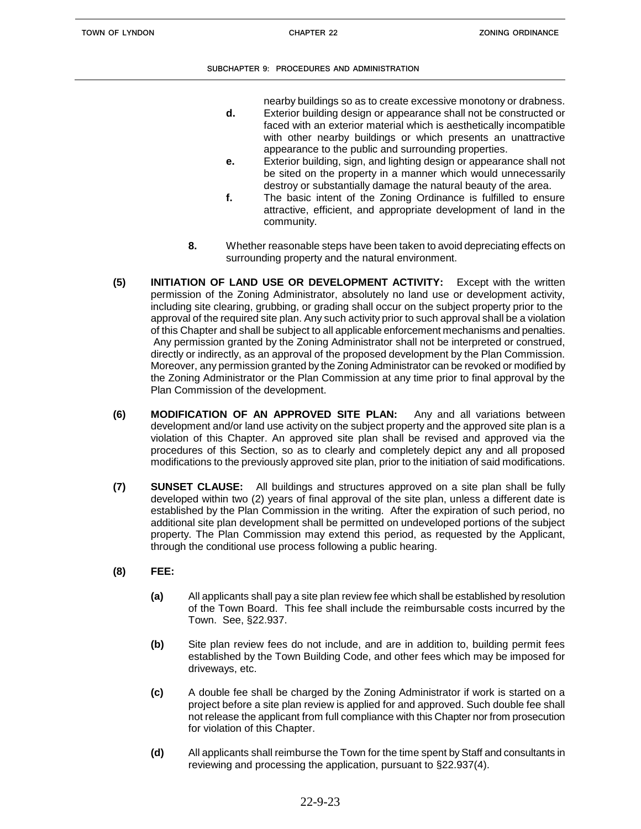nearby buildings so as to create excessive monotony or drabness.

- **d.** Exterior building design or appearance shall not be constructed or faced with an exterior material which is aesthetically incompatible with other nearby buildings or which presents an unattractive appearance to the public and surrounding properties.
- **e.** Exterior building, sign, and lighting design or appearance shall not be sited on the property in a manner which would unnecessarily destroy or substantially damage the natural beauty of the area.
- **f.** The basic intent of the Zoning Ordinance is fulfilled to ensure attractive, efficient, and appropriate development of land in the community.
- **8.** Whether reasonable steps have been taken to avoid depreciating effects on surrounding property and the natural environment.
- **(5) INITIATION OF LAND USE OR DEVELOPMENT ACTIVITY:** Except with the written permission of the Zoning Administrator, absolutely no land use or development activity, including site clearing, grubbing, or grading shall occur on the subject property prior to the approval of the required site plan. Any such activity prior to such approval shall be a violation of this Chapter and shall be subject to all applicable enforcement mechanisms and penalties. Any permission granted by the Zoning Administrator shall not be interpreted or construed, directly or indirectly, as an approval of the proposed development by the Plan Commission. Moreover, any permission granted by the Zoning Administrator can be revoked or modified by the Zoning Administrator or the Plan Commission at any time prior to final approval by the Plan Commission of the development.
- **(6) MODIFICATION OF AN APPROVED SITE PLAN:** Any and all variations between development and/or land use activity on the subject property and the approved site plan is a violation of this Chapter. An approved site plan shall be revised and approved via the procedures of this Section, so as to clearly and completely depict any and all proposed modifications to the previously approved site plan, prior to the initiation of said modifications.
- **(7) SUNSET CLAUSE:** All buildings and structures approved on a site plan shall be fully developed within two (2) years of final approval of the site plan, unless a different date is established by the Plan Commission in the writing. After the expiration of such period, no additional site plan development shall be permitted on undeveloped portions of the subject property. The Plan Commission may extend this period, as requested by the Applicant, through the conditional use process following a public hearing.
- **(8) FEE:**
	- **(a)** All applicants shall pay a site plan review fee which shall be established by resolution of the Town Board. This fee shall include the reimbursable costs incurred by the Town. See, §22.937.
	- **(b)** Site plan review fees do not include, and are in addition to, building permit fees established by the Town Building Code, and other fees which may be imposed for driveways, etc.
	- **(c)** A double fee shall be charged by the Zoning Administrator if work is started on a project before a site plan review is applied for and approved. Such double fee shall not release the applicant from full compliance with this Chapter nor from prosecution for violation of this Chapter.
	- **(d)** All applicants shall reimburse the Town for the time spent by Staff and consultants in reviewing and processing the application, pursuant to §22.937(4).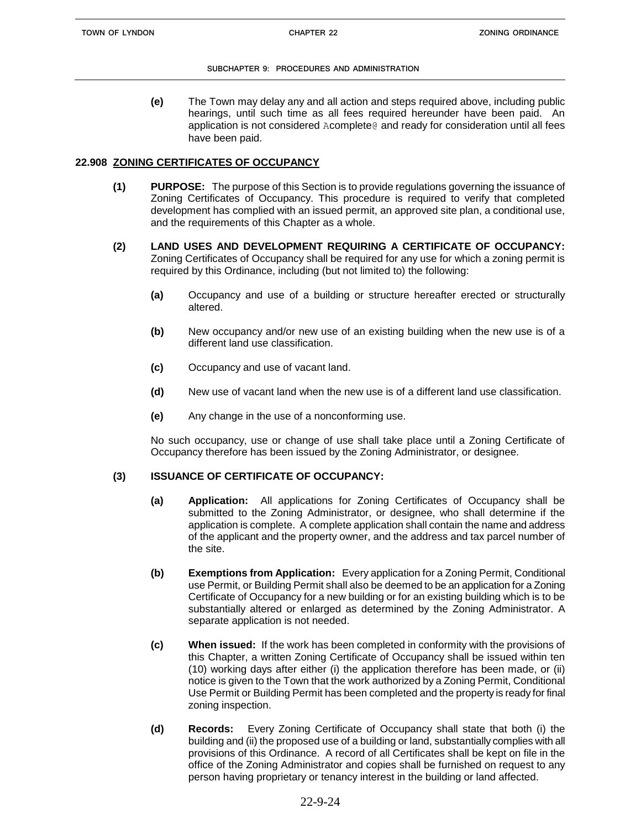**(e)** The Town may delay any and all action and steps required above, including public hearings, until such time as all fees required hereunder have been paid. An application is not considered Acomplete@ and ready for consideration until all fees have been paid.

## **22.908 ZONING CERTIFICATES OF OCCUPANCY**

- **(1) PURPOSE:** The purpose of this Section is to provide regulations governing the issuance of Zoning Certificates of Occupancy. This procedure is required to verify that completed development has complied with an issued permit, an approved site plan, a conditional use, and the requirements of this Chapter as a whole.
- **(2) LAND USES AND DEVELOPMENT REQUIRING A CERTIFICATE OF OCCUPANCY:** Zoning Certificates of Occupancy shall be required for any use for which a zoning permit is required by this Ordinance, including (but not limited to) the following:
	- **(a)** Occupancy and use of a building or structure hereafter erected or structurally altered.
	- **(b)** New occupancy and/or new use of an existing building when the new use is of a different land use classification.
	- **(c)** Occupancy and use of vacant land.
	- **(d)** New use of vacant land when the new use is of a different land use classification.
	- **(e)** Any change in the use of a nonconforming use.

No such occupancy, use or change of use shall take place until a Zoning Certificate of Occupancy therefore has been issued by the Zoning Administrator, or designee.

## **(3) ISSUANCE OF CERTIFICATE OF OCCUPANCY:**

- **(a) Application:** All applications for Zoning Certificates of Occupancy shall be submitted to the Zoning Administrator, or designee, who shall determine if the application is complete. A complete application shall contain the name and address of the applicant and the property owner, and the address and tax parcel number of the site.
- **(b) Exemptions from Application:** Every application for a Zoning Permit, Conditional use Permit, or Building Permit shall also be deemed to be an application for a Zoning Certificate of Occupancy for a new building or for an existing building which is to be substantially altered or enlarged as determined by the Zoning Administrator. A separate application is not needed.
- **(c) When issued:** If the work has been completed in conformity with the provisions of this Chapter, a written Zoning Certificate of Occupancy shall be issued within ten (10) working days after either (i) the application therefore has been made, or (ii) notice is given to the Town that the work authorized by a Zoning Permit, Conditional Use Permit or Building Permit has been completed and the property is ready for final zoning inspection.
- **(d) Records:** Every Zoning Certificate of Occupancy shall state that both (i) the building and (ii) the proposed use of a building or land, substantially complies with all provisions of this Ordinance. A record of all Certificates shall be kept on file in the office of the Zoning Administrator and copies shall be furnished on request to any person having proprietary or tenancy interest in the building or land affected.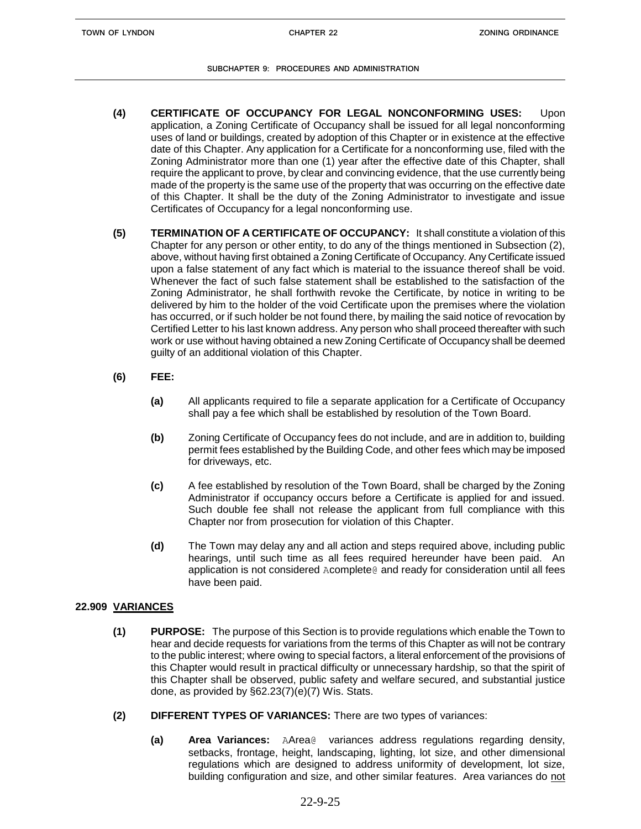- **(4) CERTIFICATE OF OCCUPANCY FOR LEGAL NONCONFORMING USES:** Upon application, a Zoning Certificate of Occupancy shall be issued for all legal nonconforming uses of land or buildings, created by adoption of this Chapter or in existence at the effective date of this Chapter. Any application for a Certificate for a nonconforming use, filed with the Zoning Administrator more than one (1) year after the effective date of this Chapter, shall require the applicant to prove, by clear and convincing evidence, that the use currently being made of the property is the same use of the property that was occurring on the effective date of this Chapter. It shall be the duty of the Zoning Administrator to investigate and issue Certificates of Occupancy for a legal nonconforming use.
- **(5) TERMINATION OF A CERTIFICATE OF OCCUPANCY:** It shall constitute a violation of this Chapter for any person or other entity, to do any of the things mentioned in Subsection (2), above, without having first obtained a Zoning Certificate of Occupancy. Any Certificate issued upon a false statement of any fact which is material to the issuance thereof shall be void. Whenever the fact of such false statement shall be established to the satisfaction of the Zoning Administrator, he shall forthwith revoke the Certificate, by notice in writing to be delivered by him to the holder of the void Certificate upon the premises where the violation has occurred, or if such holder be not found there, by mailing the said notice of revocation by Certified Letter to his last known address. Any person who shall proceed thereafter with such work or use without having obtained a new Zoning Certificate of Occupancy shall be deemed guilty of an additional violation of this Chapter.
- **(6) FEE:**
	- **(a)** All applicants required to file a separate application for a Certificate of Occupancy shall pay a fee which shall be established by resolution of the Town Board.
	- **(b)** Zoning Certificate of Occupancy fees do not include, and are in addition to, building permit fees established by the Building Code, and other fees which may be imposed for driveways, etc.
	- **(c)** A fee established by resolution of the Town Board, shall be charged by the Zoning Administrator if occupancy occurs before a Certificate is applied for and issued. Such double fee shall not release the applicant from full compliance with this Chapter nor from prosecution for violation of this Chapter.
	- **(d)** The Town may delay any and all action and steps required above, including public hearings, until such time as all fees required hereunder have been paid. An application is not considered Acomplete@ and ready for consideration until all fees have been paid.

# **22.909 VARIANCES**

- **(1) PURPOSE:** The purpose of this Section is to provide regulations which enable the Town to hear and decide requests for variations from the terms of this Chapter as will not be contrary to the public interest; where owing to special factors, a literal enforcement of the provisions of this Chapter would result in practical difficulty or unnecessary hardship, so that the spirit of this Chapter shall be observed, public safety and welfare secured, and substantial justice done, as provided by §62.23(7)(e)(7) Wis. Stats.
- **(2) DIFFERENT TYPES OF VARIANCES:** There are two types of variances:
	- **(a) Area Variances:** AArea@ variances address regulations regarding density, setbacks, frontage, height, landscaping, lighting, lot size, and other dimensional regulations which are designed to address uniformity of development, lot size, building configuration and size, and other similar features. Area variances do not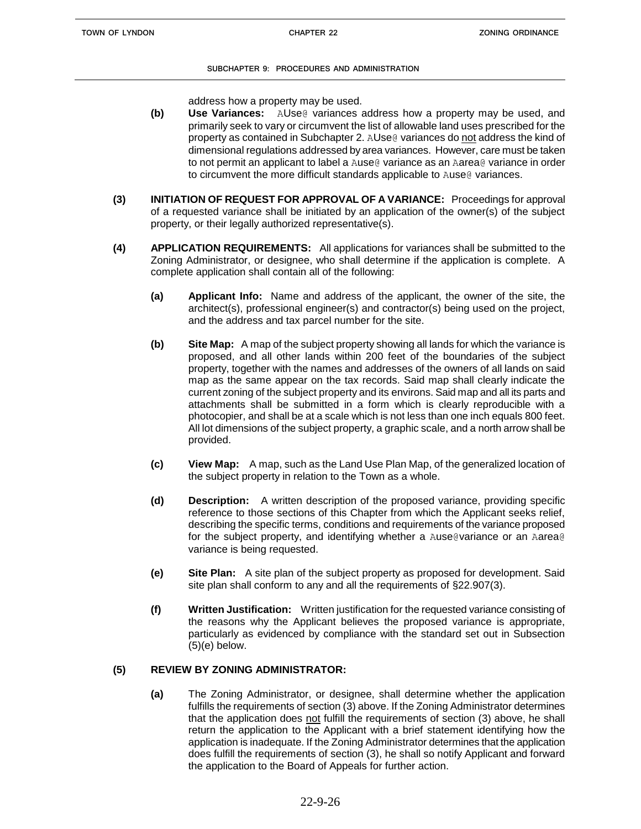address how a property may be used.

- **(b) Use Variances:** AUse@ variances address how a property may be used, and primarily seek to vary or circumvent the list of allowable land uses prescribed for the property as contained in Subchapter 2. AUse@ variances do not address the kind of dimensional regulations addressed by area variances. However, care must be taken to not permit an applicant to label a Ause@ variance as an Aarea@ variance in order to circumvent the more difficult standards applicable to Ause @ variances.
- **(3) INITIATION OF REQUEST FOR APPROVAL OF A VARIANCE:** Proceedings for approval of a requested variance shall be initiated by an application of the owner(s) of the subject property, or their legally authorized representative(s).
- **(4) APPLICATION REQUIREMENTS:** All applications for variances shall be submitted to the Zoning Administrator, or designee, who shall determine if the application is complete. A complete application shall contain all of the following:
	- **(a) Applicant Info:** Name and address of the applicant, the owner of the site, the architect(s), professional engineer(s) and contractor(s) being used on the project, and the address and tax parcel number for the site.
	- **(b) Site Map:** A map of the subject property showing all lands for which the variance is proposed, and all other lands within 200 feet of the boundaries of the subject property, together with the names and addresses of the owners of all lands on said map as the same appear on the tax records. Said map shall clearly indicate the current zoning of the subject property and its environs. Said map and all its parts and attachments shall be submitted in a form which is clearly reproducible with a photocopier, and shall be at a scale which is not less than one inch equals 800 feet. All lot dimensions of the subject property, a graphic scale, and a north arrow shall be provided.
	- **(c) View Map:** A map, such as the Land Use Plan Map, of the generalized location of the subject property in relation to the Town as a whole.
	- **(d) Description:** A written description of the proposed variance, providing specific reference to those sections of this Chapter from which the Applicant seeks relief, describing the specific terms, conditions and requirements of the variance proposed for the subject property, and identifying whether a Ause@variance or an Aarea@ variance is being requested.
	- **(e) Site Plan:** A site plan of the subject property as proposed for development. Said site plan shall conform to any and all the requirements of §22.907(3).
	- **(f) Written Justification:** Written justification for the requested variance consisting of the reasons why the Applicant believes the proposed variance is appropriate, particularly as evidenced by compliance with the standard set out in Subsection  $(5)(e)$  below.

# **(5) REVIEW BY ZONING ADMINISTRATOR:**

**(a)** The Zoning Administrator, or designee, shall determine whether the application fulfills the requirements of section (3) above. If the Zoning Administrator determines that the application does not fulfill the requirements of section (3) above, he shall return the application to the Applicant with a brief statement identifying how the application is inadequate. If the Zoning Administrator determines that the application does fulfill the requirements of section (3), he shall so notify Applicant and forward the application to the Board of Appeals for further action.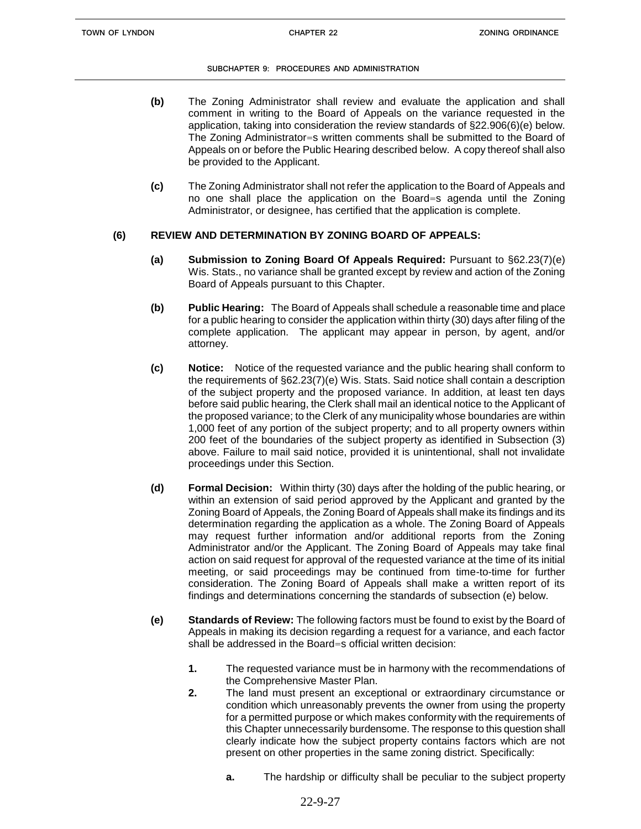- **(b)** The Zoning Administrator shall review and evaluate the application and shall comment in writing to the Board of Appeals on the variance requested in the application, taking into consideration the review standards of §22.906(6)(e) below. The Zoning Administrator=s written comments shall be submitted to the Board of Appeals on or before the Public Hearing described below. A copy thereof shall also be provided to the Applicant.
- **(c)** The Zoning Administrator shall not refer the application to the Board of Appeals and no one shall place the application on the Board=s agenda until the Zoning Administrator, or designee, has certified that the application is complete.

# **(6) REVIEW AND DETERMINATION BY ZONING BOARD OF APPEALS:**

- **(a) Submission to Zoning Board Of Appeals Required:** Pursuant to §62.23(7)(e) Wis. Stats., no variance shall be granted except by review and action of the Zoning Board of Appeals pursuant to this Chapter.
- **(b) Public Hearing:** The Board of Appeals shall schedule a reasonable time and place for a public hearing to consider the application within thirty (30) days after filing of the complete application. The applicant may appear in person, by agent, and/or attorney.
- **(c) Notice:** Notice of the requested variance and the public hearing shall conform to the requirements of §62.23(7)(e) Wis. Stats. Said notice shall contain a description of the subject property and the proposed variance. In addition, at least ten days before said public hearing, the Clerk shall mail an identical notice to the Applicant of the proposed variance; to the Clerk of any municipality whose boundaries are within 1,000 feet of any portion of the subject property; and to all property owners within 200 feet of the boundaries of the subject property as identified in Subsection (3) above. Failure to mail said notice, provided it is unintentional, shall not invalidate proceedings under this Section.
- **(d) Formal Decision:** Within thirty (30) days after the holding of the public hearing, or within an extension of said period approved by the Applicant and granted by the Zoning Board of Appeals, the Zoning Board of Appeals shall make its findings and its determination regarding the application as a whole. The Zoning Board of Appeals may request further information and/or additional reports from the Zoning Administrator and/or the Applicant. The Zoning Board of Appeals may take final action on said request for approval of the requested variance at the time of its initial meeting, or said proceedings may be continued from time-to-time for further consideration. The Zoning Board of Appeals shall make a written report of its findings and determinations concerning the standards of subsection (e) below.
- **(e) Standards of Review:** The following factors must be found to exist by the Board of Appeals in making its decision regarding a request for a variance, and each factor shall be addressed in the Board=s official written decision:
	- **1.** The requested variance must be in harmony with the recommendations of the Comprehensive Master Plan.
	- **2.** The land must present an exceptional or extraordinary circumstance or condition which unreasonably prevents the owner from using the property for a permitted purpose or which makes conformity with the requirements of this Chapter unnecessarily burdensome. The response to this question shall clearly indicate how the subject property contains factors which are not present on other properties in the same zoning district. Specifically:
		- **a.** The hardship or difficulty shall be peculiar to the subject property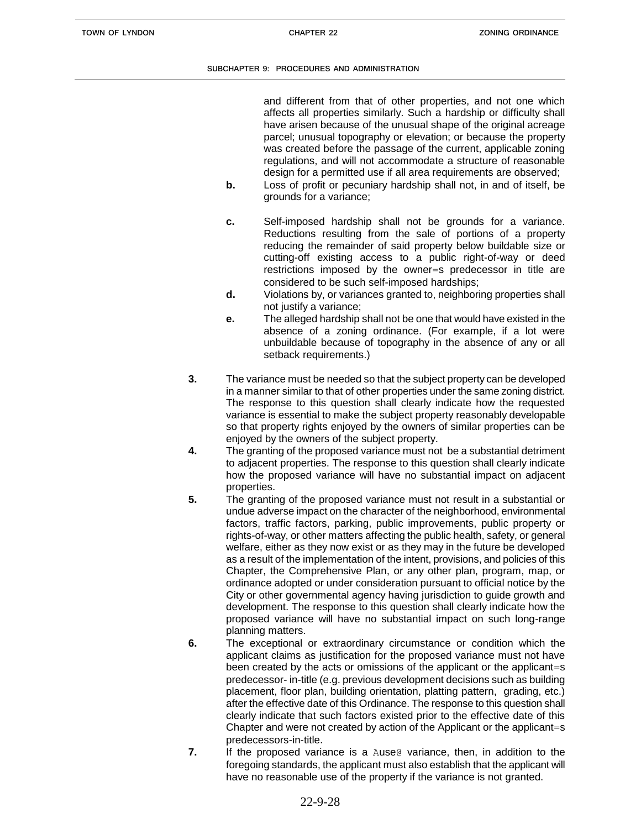and different from that of other properties, and not one which affects all properties similarly. Such a hardship or difficulty shall have arisen because of the unusual shape of the original acreage parcel; unusual topography or elevation; or because the property was created before the passage of the current, applicable zoning regulations, and will not accommodate a structure of reasonable design for a permitted use if all area requirements are observed;

- **b.** Loss of profit or pecuniary hardship shall not, in and of itself, be grounds for a variance;
- **c.** Self-imposed hardship shall not be grounds for a variance. Reductions resulting from the sale of portions of a property reducing the remainder of said property below buildable size or cutting-off existing access to a public right-of-way or deed restrictions imposed by the owner=s predecessor in title are considered to be such self-imposed hardships;
- **d.** Violations by, or variances granted to, neighboring properties shall not justify a variance;
- **e.** The alleged hardship shall not be one that would have existed in the absence of a zoning ordinance. (For example, if a lot were unbuildable because of topography in the absence of any or all setback requirements.)
- **3.** The variance must be needed so that the subject property can be developed in a manner similar to that of other properties under the same zoning district. The response to this question shall clearly indicate how the requested variance is essential to make the subject property reasonably developable so that property rights enjoyed by the owners of similar properties can be enjoyed by the owners of the subject property.
- **4.** The granting of the proposed variance must not be a substantial detriment to adjacent properties. The response to this question shall clearly indicate how the proposed variance will have no substantial impact on adjacent properties.
- **5.** The granting of the proposed variance must not result in a substantial or undue adverse impact on the character of the neighborhood, environmental factors, traffic factors, parking, public improvements, public property or rights-of-way, or other matters affecting the public health, safety, or general welfare, either as they now exist or as they may in the future be developed as a result of the implementation of the intent, provisions, and policies of this Chapter, the Comprehensive Plan, or any other plan, program, map, or ordinance adopted or under consideration pursuant to official notice by the City or other governmental agency having jurisdiction to guide growth and development. The response to this question shall clearly indicate how the proposed variance will have no substantial impact on such long-range planning matters.
- **6.** The exceptional or extraordinary circumstance or condition which the applicant claims as justification for the proposed variance must not have been created by the acts or omissions of the applicant or the applicant=s predecessor- in-title (e.g. previous development decisions such as building placement, floor plan, building orientation, platting pattern, grading, etc.) after the effective date of this Ordinance. The response to this question shall clearly indicate that such factors existed prior to the effective date of this Chapter and were not created by action of the Applicant or the applicant=s predecessors-in-title.
- **7.** If the proposed variance is a Ause@ variance, then, in addition to the foregoing standards, the applicant must also establish that the applicant will have no reasonable use of the property if the variance is not granted.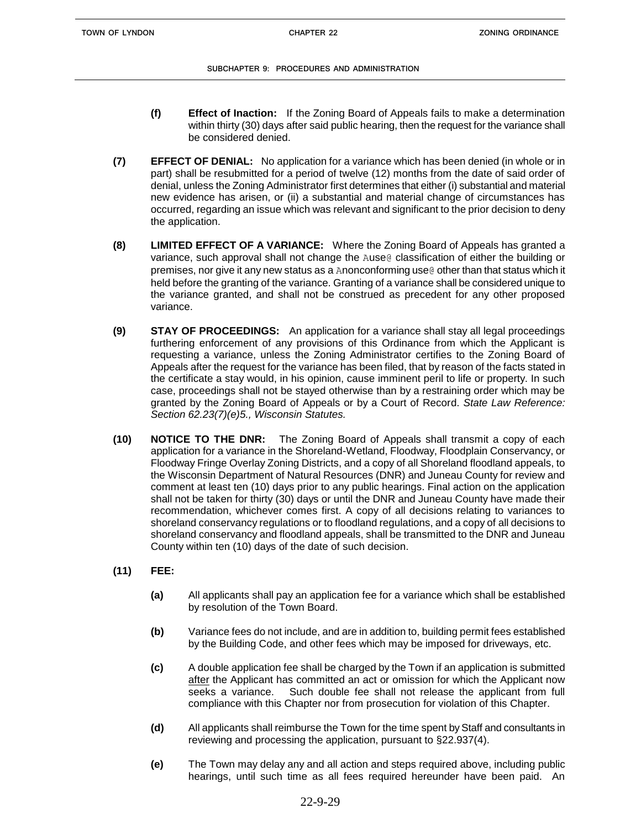- **(f) Effect of Inaction:** If the Zoning Board of Appeals fails to make a determination within thirty (30) days after said public hearing, then the request for the variance shall be considered denied.
- **(7) EFFECT OF DENIAL:** No application for a variance which has been denied (in whole or in part) shall be resubmitted for a period of twelve (12) months from the date of said order of denial, unless the Zoning Administrator first determines that either (i) substantial and material new evidence has arisen, or (ii) a substantial and material change of circumstances has occurred, regarding an issue which was relevant and significant to the prior decision to deny the application.
- **(8) LIMITED EFFECT OF A VARIANCE:** Where the Zoning Board of Appeals has granted a variance, such approval shall not change the Ause@ classification of either the building or premises, nor give it any new status as a Anonconforming use@ other than that status which it held before the granting of the variance. Granting of a variance shall be considered unique to the variance granted, and shall not be construed as precedent for any other proposed variance.
- **(9) STAY OF PROCEEDINGS:** An application for a variance shall stay all legal proceedings furthering enforcement of any provisions of this Ordinance from which the Applicant is requesting a variance, unless the Zoning Administrator certifies to the Zoning Board of Appeals after the request for the variance has been filed, that by reason of the facts stated in the certificate a stay would, in his opinion, cause imminent peril to life or property. In such case, proceedings shall not be stayed otherwise than by a restraining order which may be granted by the Zoning Board of Appeals or by a Court of Record. *State Law Reference: Section 62.23(7)(e)5., Wisconsin Statutes.*
- **(10) NOTICE TO THE DNR:** The Zoning Board of Appeals shall transmit a copy of each application for a variance in the Shoreland-Wetland, Floodway, Floodplain Conservancy, or Floodway Fringe Overlay Zoning Districts, and a copy of all Shoreland floodland appeals, to the Wisconsin Department of Natural Resources (DNR) and Juneau County for review and comment at least ten (10) days prior to any public hearings. Final action on the application shall not be taken for thirty (30) days or until the DNR and Juneau County have made their recommendation, whichever comes first. A copy of all decisions relating to variances to shoreland conservancy regulations or to floodland regulations, and a copy of all decisions to shoreland conservancy and floodland appeals, shall be transmitted to the DNR and Juneau County within ten (10) days of the date of such decision.
- **(11) FEE:**
	- **(a)** All applicants shall pay an application fee for a variance which shall be established by resolution of the Town Board.
	- **(b)** Variance fees do not include, and are in addition to, building permit fees established by the Building Code, and other fees which may be imposed for driveways, etc.
	- **(c)** A double application fee shall be charged by the Town if an application is submitted after the Applicant has committed an act or omission for which the Applicant now seeks a variance. Such double fee shall not release the applicant from full compliance with this Chapter nor from prosecution for violation of this Chapter.
	- **(d)** All applicants shall reimburse the Town for the time spent by Staff and consultants in reviewing and processing the application, pursuant to §22.937(4).
	- **(e)** The Town may delay any and all action and steps required above, including public hearings, until such time as all fees required hereunder have been paid. An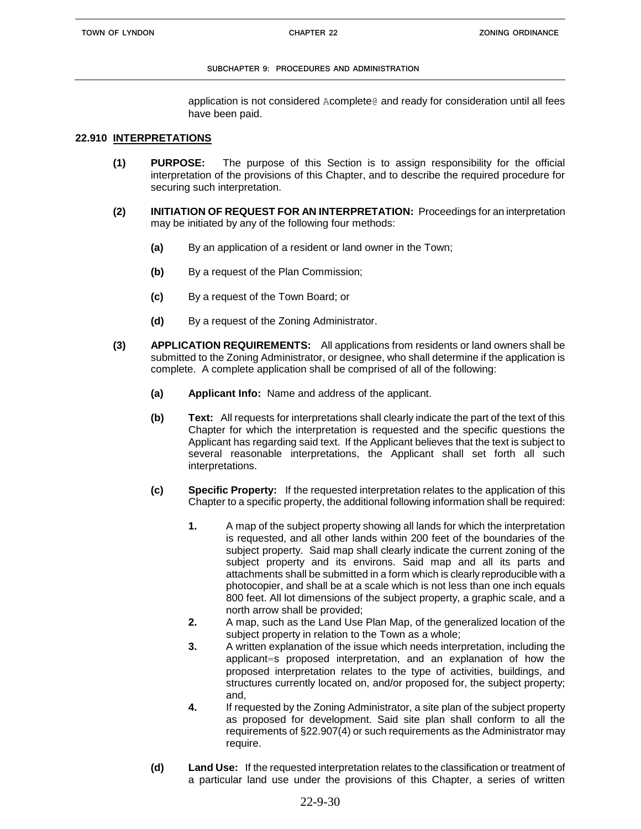application is not considered Acomplete@ and ready for consideration until all fees have been paid.

## **22.910 INTERPRETATIONS**

- **(1) PURPOSE:** The purpose of this Section is to assign responsibility for the official interpretation of the provisions of this Chapter, and to describe the required procedure for securing such interpretation.
- **(2) INITIATION OF REQUEST FOR AN INTERPRETATION:** Proceedings for an interpretation may be initiated by any of the following four methods:
	- **(a)** By an application of a resident or land owner in the Town;
	- **(b)** By a request of the Plan Commission;
	- **(c)** By a request of the Town Board; or
	- **(d)** By a request of the Zoning Administrator.
- **(3) APPLICATION REQUIREMENTS:** All applications from residents or land owners shall be submitted to the Zoning Administrator, or designee, who shall determine if the application is complete. A complete application shall be comprised of all of the following:
	- **(a) Applicant Info:** Name and address of the applicant.
	- **(b) Text:** All requests for interpretations shall clearly indicate the part of the text of this Chapter for which the interpretation is requested and the specific questions the Applicant has regarding said text. If the Applicant believes that the text is subject to several reasonable interpretations, the Applicant shall set forth all such interpretations.
	- **(c) Specific Property:** If the requested interpretation relates to the application of this Chapter to a specific property, the additional following information shall be required:
		- **1.** A map of the subject property showing all lands for which the interpretation is requested, and all other lands within 200 feet of the boundaries of the subject property. Said map shall clearly indicate the current zoning of the subject property and its environs. Said map and all its parts and attachments shall be submitted in a form which is clearly reproducible with a photocopier, and shall be at a scale which is not less than one inch equals 800 feet. All lot dimensions of the subject property, a graphic scale, and a north arrow shall be provided;
		- **2.** A map, such as the Land Use Plan Map, of the generalized location of the subject property in relation to the Town as a whole;
		- **3.** A written explanation of the issue which needs interpretation, including the applicant=s proposed interpretation, and an explanation of how the proposed interpretation relates to the type of activities, buildings, and structures currently located on, and/or proposed for, the subject property; and,
		- **4.** If requested by the Zoning Administrator, a site plan of the subject property as proposed for development. Said site plan shall conform to all the requirements of §22.907(4) or such requirements as the Administrator may require.
	- **(d) Land Use:** If the requested interpretation relates to the classification or treatment of a particular land use under the provisions of this Chapter, a series of written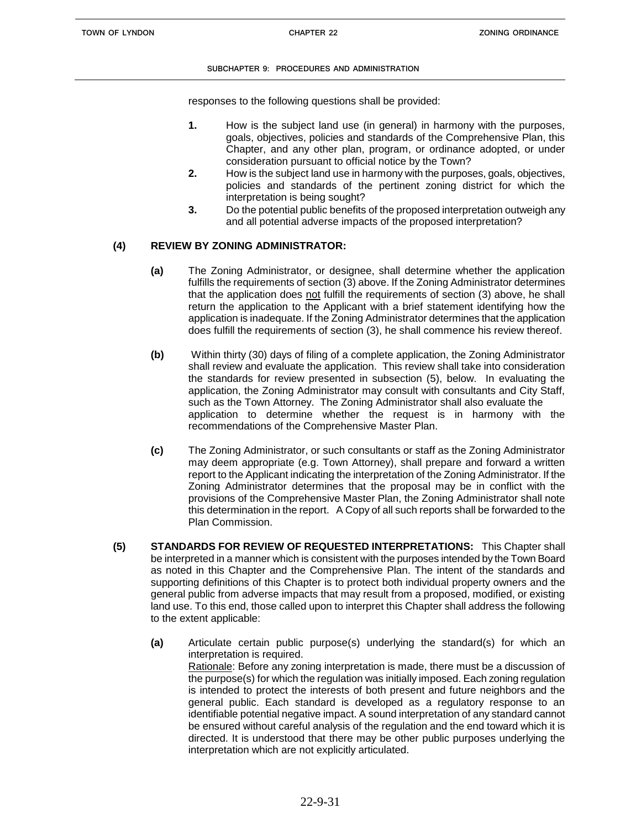responses to the following questions shall be provided:

- **1.** How is the subject land use (in general) in harmony with the purposes, goals, objectives, policies and standards of the Comprehensive Plan, this Chapter, and any other plan, program, or ordinance adopted, or under consideration pursuant to official notice by the Town?
- **2.** How is the subject land use in harmony with the purposes, goals, objectives, policies and standards of the pertinent zoning district for which the interpretation is being sought?
- **3.** Do the potential public benefits of the proposed interpretation outweigh any and all potential adverse impacts of the proposed interpretation?

## **(4) REVIEW BY ZONING ADMINISTRATOR:**

- **(a)** The Zoning Administrator, or designee, shall determine whether the application fulfills the requirements of section (3) above. If the Zoning Administrator determines that the application does not fulfill the requirements of section (3) above, he shall return the application to the Applicant with a brief statement identifying how the application is inadequate. If the Zoning Administrator determines that the application does fulfill the requirements of section (3), he shall commence his review thereof.
- **(b)** Within thirty (30) days of filing of a complete application, the Zoning Administrator shall review and evaluate the application. This review shall take into consideration the standards for review presented in subsection (5), below. In evaluating the application, the Zoning Administrator may consult with consultants and City Staff, such as the Town Attorney. The Zoning Administrator shall also evaluate the application to determine whether the request is in harmony with the recommendations of the Comprehensive Master Plan.
- **(c)** The Zoning Administrator, or such consultants or staff as the Zoning Administrator may deem appropriate (e.g. Town Attorney), shall prepare and forward a written report to the Applicant indicating the interpretation of the Zoning Administrator. If the Zoning Administrator determines that the proposal may be in conflict with the provisions of the Comprehensive Master Plan, the Zoning Administrator shall note this determination in the report. A Copy of all such reports shall be forwarded to the Plan Commission.
- **(5) STANDARDS FOR REVIEW OF REQUESTED INTERPRETATIONS:** This Chapter shall be interpreted in a manner which is consistent with the purposes intended by the Town Board as noted in this Chapter and the Comprehensive Plan. The intent of the standards and supporting definitions of this Chapter is to protect both individual property owners and the general public from adverse impacts that may result from a proposed, modified, or existing land use. To this end, those called upon to interpret this Chapter shall address the following to the extent applicable:
	- **(a)** Articulate certain public purpose(s) underlying the standard(s) for which an interpretation is required. Rationale: Before any zoning interpretation is made, there must be a discussion of the purpose(s) for which the regulation was initially imposed. Each zoning regulation is intended to protect the interests of both present and future neighbors and the general public. Each standard is developed as a regulatory response to an identifiable potential negative impact. A sound interpretation of any standard cannot be ensured without careful analysis of the regulation and the end toward which it is directed. It is understood that there may be other public purposes underlying the interpretation which are not explicitly articulated.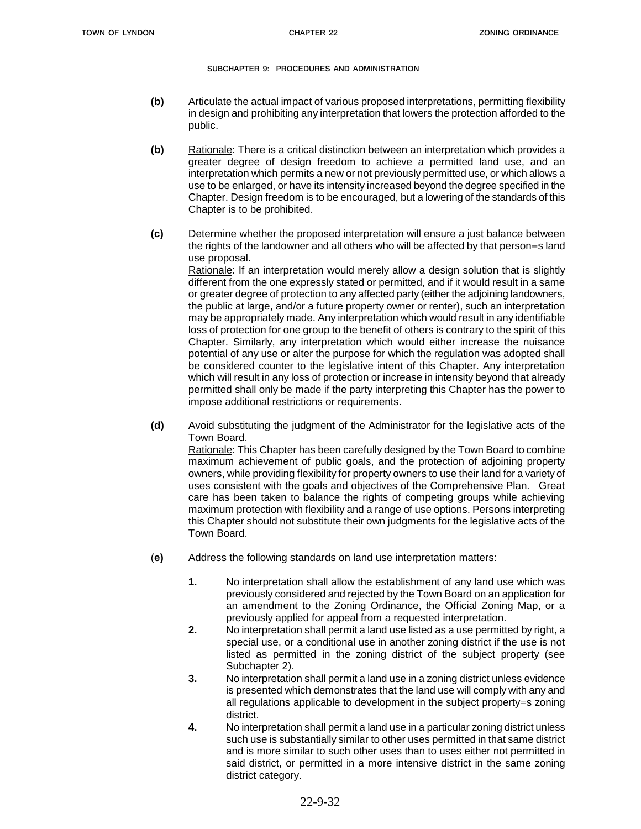- **(b)** Articulate the actual impact of various proposed interpretations, permitting flexibility in design and prohibiting any interpretation that lowers the protection afforded to the public.
- **(b)** Rationale: There is a critical distinction between an interpretation which provides a greater degree of design freedom to achieve a permitted land use, and an interpretation which permits a new or not previously permitted use, or which allows a use to be enlarged, or have its intensity increased beyond the degree specified in the Chapter. Design freedom is to be encouraged, but a lowering of the standards of this Chapter is to be prohibited.
- **(c)** Determine whether the proposed interpretation will ensure a just balance between the rights of the landowner and all others who will be affected by that person=s land use proposal.

Rationale: If an interpretation would merely allow a design solution that is slightly different from the one expressly stated or permitted, and if it would result in a same or greater degree of protection to any affected party (either the adjoining landowners, the public at large, and/or a future property owner or renter), such an interpretation may be appropriately made. Any interpretation which would result in any identifiable loss of protection for one group to the benefit of others is contrary to the spirit of this Chapter. Similarly, any interpretation which would either increase the nuisance potential of any use or alter the purpose for which the regulation was adopted shall be considered counter to the legislative intent of this Chapter. Any interpretation which will result in any loss of protection or increase in intensity beyond that already permitted shall only be made if the party interpreting this Chapter has the power to impose additional restrictions or requirements.

**(d)** Avoid substituting the judgment of the Administrator for the legislative acts of the Town Board.

Rationale: This Chapter has been carefully designed by the Town Board to combine maximum achievement of public goals, and the protection of adjoining property owners, while providing flexibility for property owners to use their land for a variety of uses consistent with the goals and objectives of the Comprehensive Plan. Great care has been taken to balance the rights of competing groups while achieving maximum protection with flexibility and a range of use options. Persons interpreting this Chapter should not substitute their own judgments for the legislative acts of the Town Board.

- (**e)** Address the following standards on land use interpretation matters:
	- **1.** No interpretation shall allow the establishment of any land use which was previously considered and rejected by the Town Board on an application for an amendment to the Zoning Ordinance, the Official Zoning Map, or a previously applied for appeal from a requested interpretation.
	- **2.** No interpretation shall permit a land use listed as a use permitted by right, a special use, or a conditional use in another zoning district if the use is not listed as permitted in the zoning district of the subject property (see Subchapter 2).
	- **3.** No interpretation shall permit a land use in a zoning district unless evidence is presented which demonstrates that the land use will comply with any and all regulations applicable to development in the subject property=s zoning district.
	- **4.** No interpretation shall permit a land use in a particular zoning district unless such use is substantially similar to other uses permitted in that same district and is more similar to such other uses than to uses either not permitted in said district, or permitted in a more intensive district in the same zoning district category.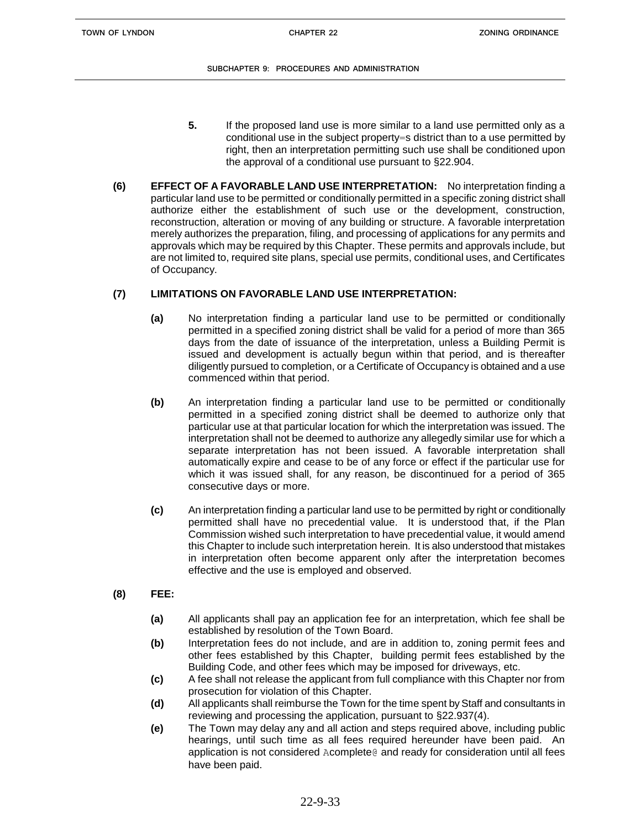- **5.** If the proposed land use is more similar to a land use permitted only as a conditional use in the subject property=s district than to a use permitted by right, then an interpretation permitting such use shall be conditioned upon the approval of a conditional use pursuant to §22.904.
- **(6) EFFECT OF A FAVORABLE LAND USE INTERPRETATION:** No interpretation finding a particular land use to be permitted or conditionally permitted in a specific zoning district shall authorize either the establishment of such use or the development, construction, reconstruction, alteration or moving of any building or structure. A favorable interpretation merely authorizes the preparation, filing, and processing of applications for any permits and approvals which may be required by this Chapter. These permits and approvals include, but are not limited to, required site plans, special use permits, conditional uses, and Certificates of Occupancy.

# **(7) LIMITATIONS ON FAVORABLE LAND USE INTERPRETATION:**

- **(a)** No interpretation finding a particular land use to be permitted or conditionally permitted in a specified zoning district shall be valid for a period of more than 365 days from the date of issuance of the interpretation, unless a Building Permit is issued and development is actually begun within that period, and is thereafter diligently pursued to completion, or a Certificate of Occupancy is obtained and a use commenced within that period.
- **(b)** An interpretation finding a particular land use to be permitted or conditionally permitted in a specified zoning district shall be deemed to authorize only that particular use at that particular location for which the interpretation was issued. The interpretation shall not be deemed to authorize any allegedly similar use for which a separate interpretation has not been issued. A favorable interpretation shall automatically expire and cease to be of any force or effect if the particular use for which it was issued shall, for any reason, be discontinued for a period of 365 consecutive days or more.
- **(c)** An interpretation finding a particular land use to be permitted by right or conditionally permitted shall have no precedential value. It is understood that, if the Plan Commission wished such interpretation to have precedential value, it would amend this Chapter to include such interpretation herein. It is also understood that mistakes in interpretation often become apparent only after the interpretation becomes effective and the use is employed and observed.
- **(8) FEE:**
	- **(a)** All applicants shall pay an application fee for an interpretation, which fee shall be established by resolution of the Town Board.
	- **(b)** Interpretation fees do not include, and are in addition to, zoning permit fees and other fees established by this Chapter, building permit fees established by the Building Code, and other fees which may be imposed for driveways, etc.
	- **(c)** A fee shall not release the applicant from full compliance with this Chapter nor from prosecution for violation of this Chapter.
	- **(d)** All applicants shall reimburse the Town for the time spent by Staff and consultants in reviewing and processing the application, pursuant to §22.937(4).
	- **(e)** The Town may delay any and all action and steps required above, including public hearings, until such time as all fees required hereunder have been paid. An application is not considered Acomplete@ and ready for consideration until all fees have been paid.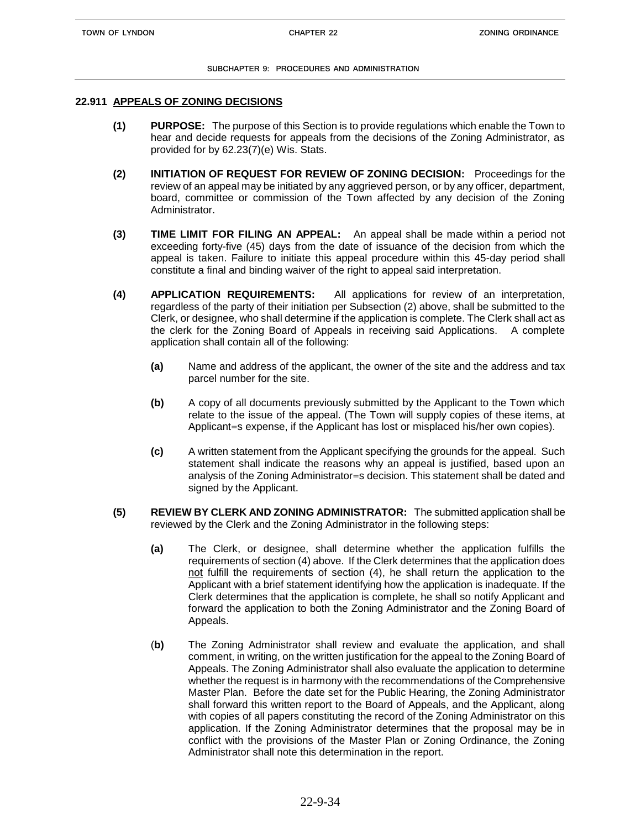### **22.911 APPEALS OF ZONING DECISIONS**

- **(1) PURPOSE:** The purpose of this Section is to provide regulations which enable the Town to hear and decide requests for appeals from the decisions of the Zoning Administrator, as provided for by 62.23(7)(e) Wis. Stats.
- **(2) INITIATION OF REQUEST FOR REVIEW OF ZONING DECISION:** Proceedings for the review of an appeal may be initiated by any aggrieved person, or by any officer, department, board, committee or commission of the Town affected by any decision of the Zoning Administrator.
- **(3) TIME LIMIT FOR FILING AN APPEAL:** An appeal shall be made within a period not exceeding forty-five (45) days from the date of issuance of the decision from which the appeal is taken. Failure to initiate this appeal procedure within this 45-day period shall constitute a final and binding waiver of the right to appeal said interpretation.
- **(4) APPLICATION REQUIREMENTS:** All applications for review of an interpretation, regardless of the party of their initiation per Subsection (2) above, shall be submitted to the Clerk, or designee, who shall determine if the application is complete. The Clerk shall act as the clerk for the Zoning Board of Appeals in receiving said Applications. A complete application shall contain all of the following:
	- **(a)** Name and address of the applicant, the owner of the site and the address and tax parcel number for the site.
	- **(b)** A copy of all documents previously submitted by the Applicant to the Town which relate to the issue of the appeal. (The Town will supply copies of these items, at Applicant=s expense, if the Applicant has lost or misplaced his/her own copies).
	- **(c)** A written statement from the Applicant specifying the grounds for the appeal. Such statement shall indicate the reasons why an appeal is justified, based upon an analysis of the Zoning Administrator=s decision. This statement shall be dated and signed by the Applicant.
- **(5) REVIEW BY CLERK AND ZONING ADMINISTRATOR:** The submitted application shall be reviewed by the Clerk and the Zoning Administrator in the following steps:
	- **(a)** The Clerk, or designee, shall determine whether the application fulfills the requirements of section (4) above. If the Clerk determines that the application does not fulfill the requirements of section (4), he shall return the application to the Applicant with a brief statement identifying how the application is inadequate. If the Clerk determines that the application is complete, he shall so notify Applicant and forward the application to both the Zoning Administrator and the Zoning Board of Appeals.
	- (**b)** The Zoning Administrator shall review and evaluate the application, and shall comment, in writing, on the written justification for the appeal to the Zoning Board of Appeals. The Zoning Administrator shall also evaluate the application to determine whether the request is in harmony with the recommendations of the Comprehensive Master Plan. Before the date set for the Public Hearing, the Zoning Administrator shall forward this written report to the Board of Appeals, and the Applicant, along with copies of all papers constituting the record of the Zoning Administrator on this application. If the Zoning Administrator determines that the proposal may be in conflict with the provisions of the Master Plan or Zoning Ordinance, the Zoning Administrator shall note this determination in the report.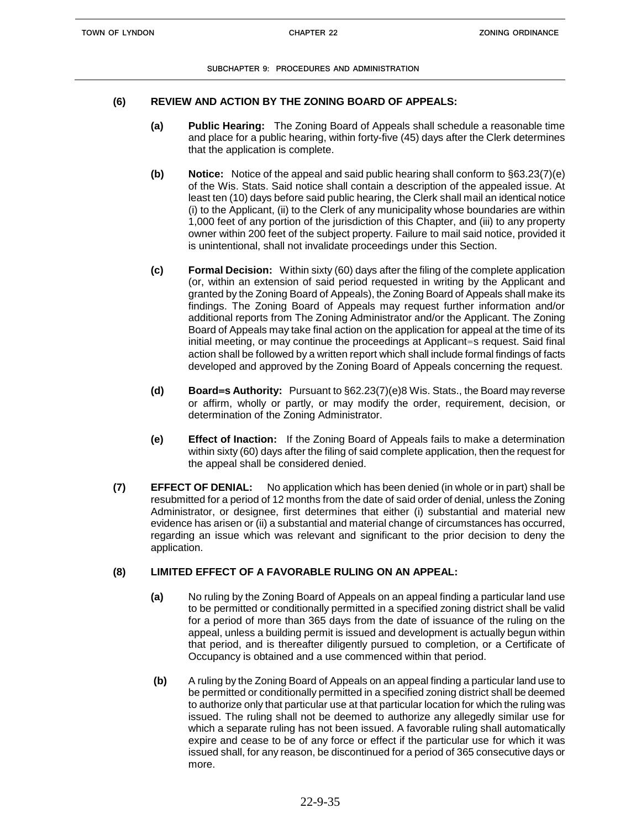## **(6) REVIEW AND ACTION BY THE ZONING BOARD OF APPEALS:**

- **(a) Public Hearing:** The Zoning Board of Appeals shall schedule a reasonable time and place for a public hearing, within forty-five (45) days after the Clerk determines that the application is complete.
- **(b) Notice:** Notice of the appeal and said public hearing shall conform to §63.23(7)(e) of the Wis. Stats. Said notice shall contain a description of the appealed issue. At least ten (10) days before said public hearing, the Clerk shall mail an identical notice (i) to the Applicant, (ii) to the Clerk of any municipality whose boundaries are within 1,000 feet of any portion of the jurisdiction of this Chapter, and (iii) to any property owner within 200 feet of the subject property. Failure to mail said notice, provided it is unintentional, shall not invalidate proceedings under this Section.
- **(c) Formal Decision:** Within sixty (60) days after the filing of the complete application (or, within an extension of said period requested in writing by the Applicant and granted by the Zoning Board of Appeals), the Zoning Board of Appeals shall make its findings. The Zoning Board of Appeals may request further information and/or additional reports from The Zoning Administrator and/or the Applicant. The Zoning Board of Appeals may take final action on the application for appeal at the time of its initial meeting, or may continue the proceedings at Applicant=s request. Said final action shall be followed by a written report which shall include formal findings of facts developed and approved by the Zoning Board of Appeals concerning the request.
- **(d) Board=s Authority:** Pursuant to §62.23(7)(e)8 Wis. Stats., the Board may reverse or affirm, wholly or partly, or may modify the order, requirement, decision, or determination of the Zoning Administrator.
- **(e) Effect of Inaction:** If the Zoning Board of Appeals fails to make a determination within sixty (60) days after the filing of said complete application, then the request for the appeal shall be considered denied.
- **(7) EFFECT OF DENIAL:** No application which has been denied (in whole or in part) shall be resubmitted for a period of 12 months from the date of said order of denial, unless the Zoning Administrator, or designee, first determines that either (i) substantial and material new evidence has arisen or (ii) a substantial and material change of circumstances has occurred, regarding an issue which was relevant and significant to the prior decision to deny the application.

## **(8) LIMITED EFFECT OF A FAVORABLE RULING ON AN APPEAL:**

- **(a)** No ruling by the Zoning Board of Appeals on an appeal finding a particular land use to be permitted or conditionally permitted in a specified zoning district shall be valid for a period of more than 365 days from the date of issuance of the ruling on the appeal, unless a building permit is issued and development is actually begun within that period, and is thereafter diligently pursued to completion, or a Certificate of Occupancy is obtained and a use commenced within that period.
- **(b)** A ruling by the Zoning Board of Appeals on an appeal finding a particular land use to be permitted or conditionally permitted in a specified zoning district shall be deemed to authorize only that particular use at that particular location for which the ruling was issued. The ruling shall not be deemed to authorize any allegedly similar use for which a separate ruling has not been issued. A favorable ruling shall automatically expire and cease to be of any force or effect if the particular use for which it was issued shall, for any reason, be discontinued for a period of 365 consecutive days or more.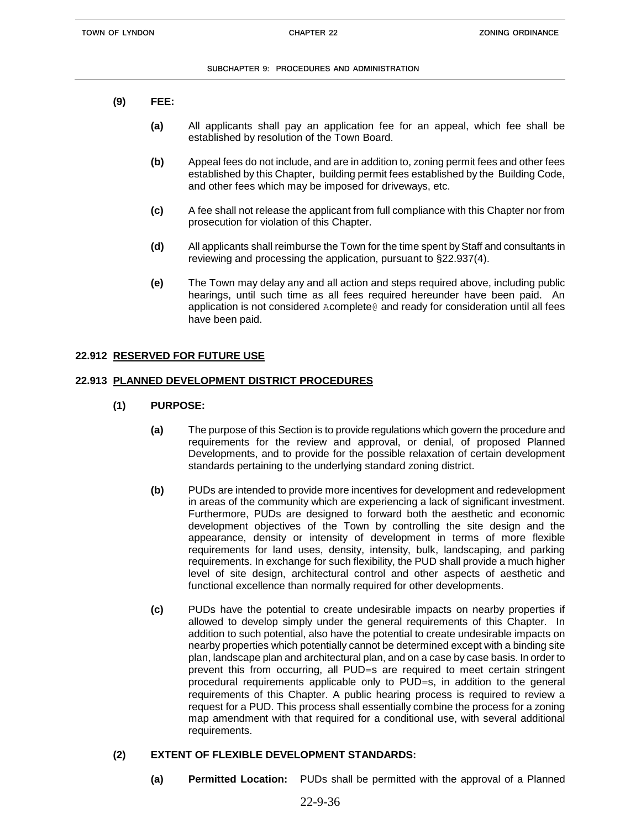- **(9) FEE:**
	- **(a)** All applicants shall pay an application fee for an appeal, which fee shall be established by resolution of the Town Board.
	- **(b)** Appeal fees do not include, and are in addition to, zoning permit fees and other fees established by this Chapter, building permit fees established by the Building Code, and other fees which may be imposed for driveways, etc.
	- **(c)** A fee shall not release the applicant from full compliance with this Chapter nor from prosecution for violation of this Chapter.
	- **(d)** All applicants shall reimburse the Town for the time spent by Staff and consultants in reviewing and processing the application, pursuant to §22.937(4).
	- **(e)** The Town may delay any and all action and steps required above, including public hearings, until such time as all fees required hereunder have been paid. An application is not considered Acomplete@ and ready for consideration until all fees have been paid.

## **22.912 RESERVED FOR FUTURE USE**

## **22.913 PLANNED DEVELOPMENT DISTRICT PROCEDURES**

- **(1) PURPOSE:**
	- **(a)** The purpose of this Section is to provide regulations which govern the procedure and requirements for the review and approval, or denial, of proposed Planned Developments, and to provide for the possible relaxation of certain development standards pertaining to the underlying standard zoning district.
	- **(b)** PUDs are intended to provide more incentives for development and redevelopment in areas of the community which are experiencing a lack of significant investment. Furthermore, PUDs are designed to forward both the aesthetic and economic development objectives of the Town by controlling the site design and the appearance, density or intensity of development in terms of more flexible requirements for land uses, density, intensity, bulk, landscaping, and parking requirements. In exchange for such flexibility, the PUD shall provide a much higher level of site design, architectural control and other aspects of aesthetic and functional excellence than normally required for other developments.
	- **(c)** PUDs have the potential to create undesirable impacts on nearby properties if allowed to develop simply under the general requirements of this Chapter. In addition to such potential, also have the potential to create undesirable impacts on nearby properties which potentially cannot be determined except with a binding site plan, landscape plan and architectural plan, and on a case by case basis. In order to prevent this from occurring, all PUD=s are required to meet certain stringent procedural requirements applicable only to PUD=s, in addition to the general requirements of this Chapter. A public hearing process is required to review a request for a PUD. This process shall essentially combine the process for a zoning map amendment with that required for a conditional use, with several additional requirements.

## **(2) EXTENT OF FLEXIBLE DEVELOPMENT STANDARDS:**

**(a) Permitted Location:** PUDs shall be permitted with the approval of a Planned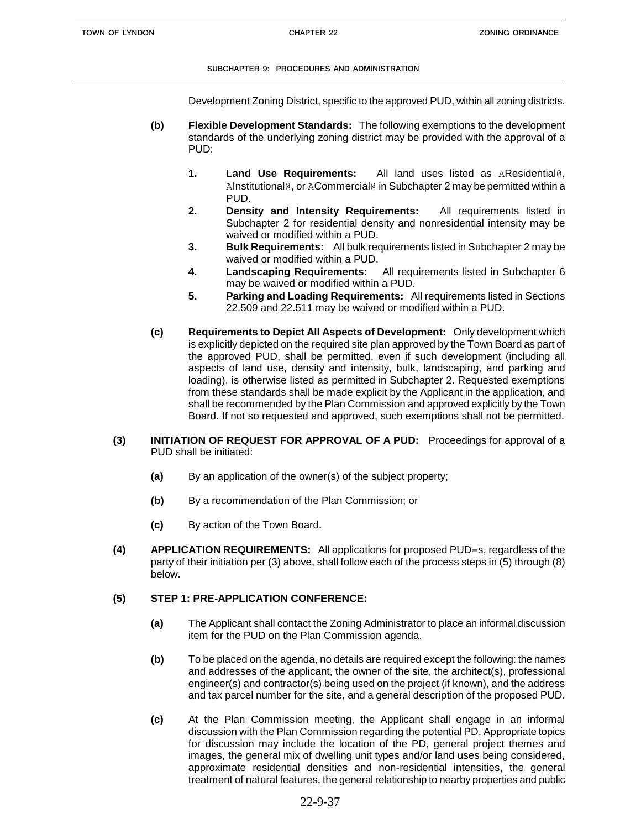Development Zoning District, specific to the approved PUD, within all zoning districts.

- **(b) Flexible Development Standards:** The following exemptions to the development standards of the underlying zoning district may be provided with the approval of a PUD:
	- **1. Land Use Requirements:** All land uses listed as AResidential@, AInstitutional@, or ACommercial@ in Subchapter 2 may be permitted within a PUD.
	- **2. Density and Intensity Requirements:** All requirements listed in Subchapter 2 for residential density and nonresidential intensity may be waived or modified within a PUD.
	- **3. Bulk Requirements:** All bulk requirements listed in Subchapter 2 may be waived or modified within a PUD.
	- **4. Landscaping Requirements:** All requirements listed in Subchapter 6 may be waived or modified within a PUD.
	- **5. Parking and Loading Requirements:** All requirements listed in Sections 22.509 and 22.511 may be waived or modified within a PUD.
- **(c) Requirements to Depict All Aspects of Development:** Only development which is explicitly depicted on the required site plan approved by the Town Board as part of the approved PUD, shall be permitted, even if such development (including all aspects of land use, density and intensity, bulk, landscaping, and parking and loading), is otherwise listed as permitted in Subchapter 2. Requested exemptions from these standards shall be made explicit by the Applicant in the application, and shall be recommended by the Plan Commission and approved explicitly by the Town Board. If not so requested and approved, such exemptions shall not be permitted.
- **(3) INITIATION OF REQUEST FOR APPROVAL OF A PUD:** Proceedings for approval of a PUD shall be initiated:
	- **(a)** By an application of the owner(s) of the subject property;
	- **(b)** By a recommendation of the Plan Commission; or
	- **(c)** By action of the Town Board.
- **(4) APPLICATION REQUIREMENTS:** All applications for proposed PUD=s, regardless of the party of their initiation per (3) above, shall follow each of the process steps in (5) through (8) below.

## **(5) STEP 1: PRE-APPLICATION CONFERENCE:**

- **(a)** The Applicant shall contact the Zoning Administrator to place an informal discussion item for the PUD on the Plan Commission agenda.
- **(b)** To be placed on the agenda, no details are required except the following: the names and addresses of the applicant, the owner of the site, the architect(s), professional engineer(s) and contractor(s) being used on the project (if known), and the address and tax parcel number for the site, and a general description of the proposed PUD.
- **(c)** At the Plan Commission meeting, the Applicant shall engage in an informal discussion with the Plan Commission regarding the potential PD. Appropriate topics for discussion may include the location of the PD, general project themes and images, the general mix of dwelling unit types and/or land uses being considered, approximate residential densities and non-residential intensities, the general treatment of natural features, the general relationship to nearby properties and public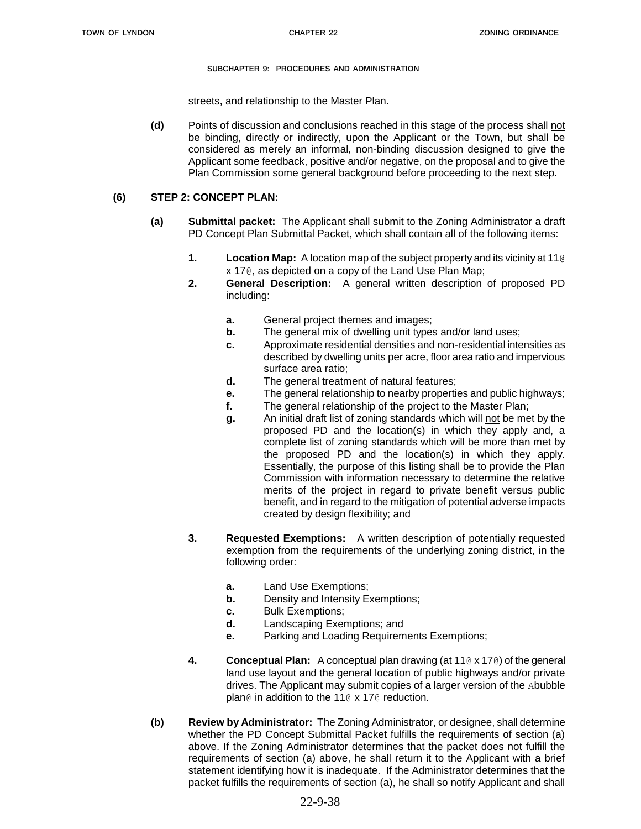streets, and relationship to the Master Plan.

**(d)** Points of discussion and conclusions reached in this stage of the process shall not be binding, directly or indirectly, upon the Applicant or the Town, but shall be considered as merely an informal, non-binding discussion designed to give the Applicant some feedback, positive and/or negative, on the proposal and to give the Plan Commission some general background before proceeding to the next step.

## **(6) STEP 2: CONCEPT PLAN:**

- **(a) Submittal packet:** The Applicant shall submit to the Zoning Administrator a draft PD Concept Plan Submittal Packet, which shall contain all of the following items:
	- **1. Location Map:** A location map of the subject property and its vicinity at 11@ x 17@, as depicted on a copy of the Land Use Plan Map;
	- **2. General Description:** A general written description of proposed PD including:
		- **a.** General project themes and images;
		- **b.** The general mix of dwelling unit types and/or land uses;
		- **c.** Approximate residential densities and non-residential intensities as described by dwelling units per acre, floor area ratio and impervious surface area ratio;
		- **d.** The general treatment of natural features;
		- **e.** The general relationship to nearby properties and public highways;
		- **f.** The general relationship of the project to the Master Plan;
		- **g.** An initial draft list of zoning standards which will not be met by the proposed PD and the location(s) in which they apply and, a complete list of zoning standards which will be more than met by the proposed PD and the location(s) in which they apply. Essentially, the purpose of this listing shall be to provide the Plan Commission with information necessary to determine the relative merits of the project in regard to private benefit versus public benefit, and in regard to the mitigation of potential adverse impacts created by design flexibility; and
	- **3. Requested Exemptions:** A written description of potentially requested exemption from the requirements of the underlying zoning district, in the following order:
		- **a.** Land Use Exemptions;
		- **b.** Density and Intensity Exemptions;
		- **c.** Bulk Exemptions;
		- **d.** Landscaping Exemptions; and
		- **e.** Parking and Loading Requirements Exemptions;
	- **4. Conceptual Plan:** A conceptual plan drawing (at 11@ x 17@) of the general land use layout and the general location of public highways and/or private drives. The Applicant may submit copies of a larger version of the Abubble plan@ in addition to the 11@ x 17@ reduction.
- **(b) Review by Administrator:** The Zoning Administrator, or designee, shall determine whether the PD Concept Submittal Packet fulfills the requirements of section (a) above. If the Zoning Administrator determines that the packet does not fulfill the requirements of section (a) above, he shall return it to the Applicant with a brief statement identifying how it is inadequate. If the Administrator determines that the packet fulfills the requirements of section (a), he shall so notify Applicant and shall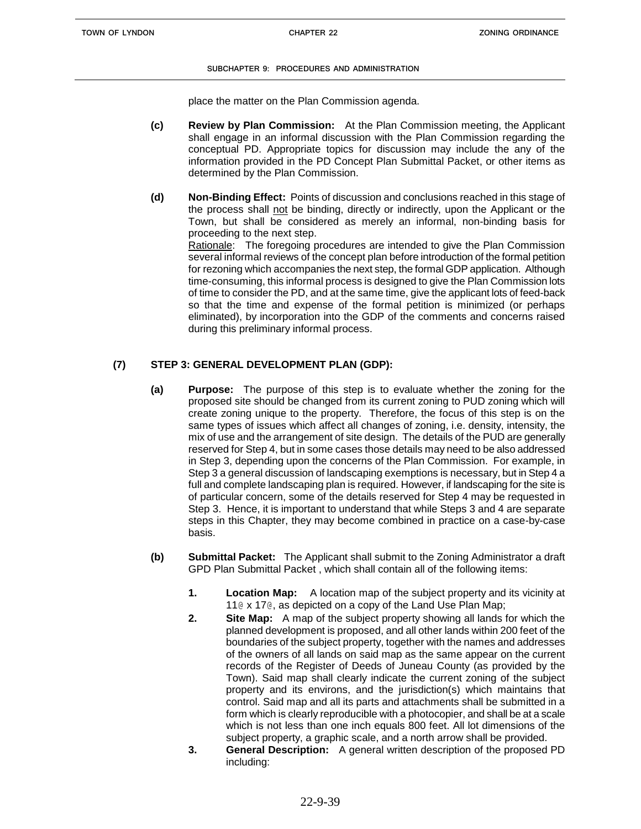place the matter on the Plan Commission agenda.

- **(c) Review by Plan Commission:** At the Plan Commission meeting, the Applicant shall engage in an informal discussion with the Plan Commission regarding the conceptual PD. Appropriate topics for discussion may include the any of the information provided in the PD Concept Plan Submittal Packet, or other items as determined by the Plan Commission.
- **(d) Non-Binding Effect:** Points of discussion and conclusions reached in this stage of the process shall not be binding, directly or indirectly, upon the Applicant or the Town, but shall be considered as merely an informal, non-binding basis for proceeding to the next step. Rationale: The foregoing procedures are intended to give the Plan Commission several informal reviews of the concept plan before introduction of the formal petition for rezoning which accompanies the next step, the formal GDP application. Although time-consuming, this informal process is designed to give the Plan Commission lots of time to consider the PD, and at the same time, give the applicant lots of feed-back so that the time and expense of the formal petition is minimized (or perhaps eliminated), by incorporation into the GDP of the comments and concerns raised during this preliminary informal process.

# **(7) STEP 3: GENERAL DEVELOPMENT PLAN (GDP):**

- **(a) Purpose:** The purpose of this step is to evaluate whether the zoning for the proposed site should be changed from its current zoning to PUD zoning which will create zoning unique to the property. Therefore, the focus of this step is on the same types of issues which affect all changes of zoning, i.e. density, intensity, the mix of use and the arrangement of site design. The details of the PUD are generally reserved for Step 4, but in some cases those details may need to be also addressed in Step 3, depending upon the concerns of the Plan Commission. For example, in Step 3 a general discussion of landscaping exemptions is necessary, but in Step 4 a full and complete landscaping plan is required. However, if landscaping for the site is of particular concern, some of the details reserved for Step 4 may be requested in Step 3. Hence, it is important to understand that while Steps 3 and 4 are separate steps in this Chapter, they may become combined in practice on a case-by-case basis.
- **(b) Submittal Packet:** The Applicant shall submit to the Zoning Administrator a draft GPD Plan Submittal Packet , which shall contain all of the following items:
	- **1. Location Map:** A location map of the subject property and its vicinity at 11@ x 17@, as depicted on a copy of the Land Use Plan Map;
	- **2. Site Map:** A map of the subject property showing all lands for which the planned development is proposed, and all other lands within 200 feet of the boundaries of the subject property, together with the names and addresses of the owners of all lands on said map as the same appear on the current records of the Register of Deeds of Juneau County (as provided by the Town). Said map shall clearly indicate the current zoning of the subject property and its environs, and the jurisdiction(s) which maintains that control. Said map and all its parts and attachments shall be submitted in a form which is clearly reproducible with a photocopier, and shall be at a scale which is not less than one inch equals 800 feet. All lot dimensions of the subject property, a graphic scale, and a north arrow shall be provided.
	- **3. General Description:** A general written description of the proposed PD including: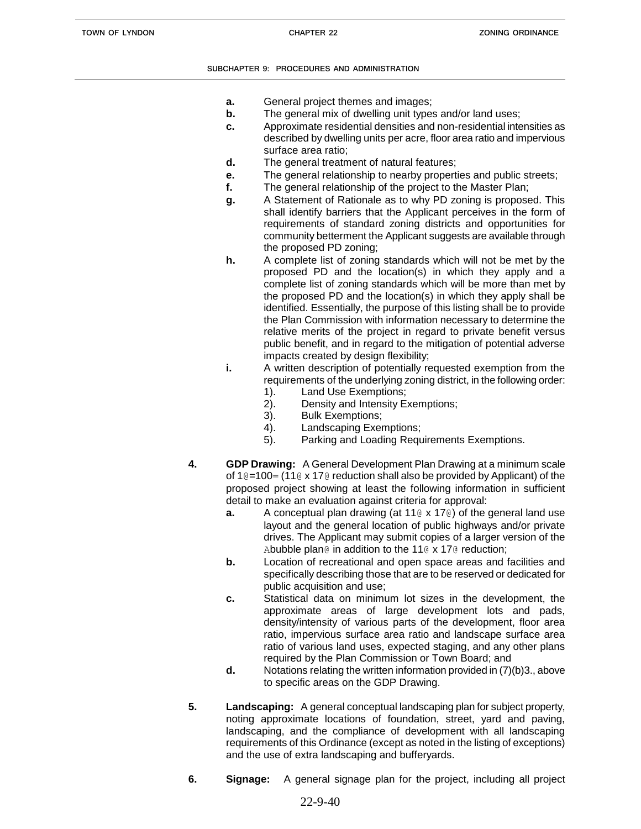- **a.** General project themes and images;
- **b.** The general mix of dwelling unit types and/or land uses;
- **c.** Approximate residential densities and non-residential intensities as described by dwelling units per acre, floor area ratio and impervious surface area ratio;
- **d.** The general treatment of natural features;
- **e.** The general relationship to nearby properties and public streets;
- **f.** The general relationship of the project to the Master Plan;
- **g.** A Statement of Rationale as to why PD zoning is proposed. This shall identify barriers that the Applicant perceives in the form of requirements of standard zoning districts and opportunities for community betterment the Applicant suggests are available through the proposed PD zoning;
- **h.** A complete list of zoning standards which will not be met by the proposed PD and the location(s) in which they apply and a complete list of zoning standards which will be more than met by the proposed PD and the location(s) in which they apply shall be identified. Essentially, the purpose of this listing shall be to provide the Plan Commission with information necessary to determine the relative merits of the project in regard to private benefit versus public benefit, and in regard to the mitigation of potential adverse impacts created by design flexibility;
- **i.** A written description of potentially requested exemption from the requirements of the underlying zoning district, in the following order:
	- 1). Land Use Exemptions;
	- 2). Density and Intensity Exemptions;
	- 3). Bulk Exemptions;
	- 4). Landscaping Exemptions;
	- 5). Parking and Loading Requirements Exemptions.
- **4. GDP Drawing:** A General Development Plan Drawing at a minimum scale of 1 $@=100=$  (11 $@x$  17 $@$  reduction shall also be provided by Applicant) of the proposed project showing at least the following information in sufficient detail to make an evaluation against criteria for approval:
	- **a.** A conceptual plan drawing (at 11<sup>®</sup> x 17<sup>®</sup>) of the general land use layout and the general location of public highways and/or private drives. The Applicant may submit copies of a larger version of the Abubble plan@ in addition to the 11@ x 17@ reduction;
	- **b.** Location of recreational and open space areas and facilities and specifically describing those that are to be reserved or dedicated for public acquisition and use;
	- **c.** Statistical data on minimum lot sizes in the development, the approximate areas of large development lots and pads, density/intensity of various parts of the development, floor area ratio, impervious surface area ratio and landscape surface area ratio of various land uses, expected staging, and any other plans required by the Plan Commission or Town Board; and
	- **d.** Notations relating the written information provided in (7)(b)3., above to specific areas on the GDP Drawing.
- **5. Landscaping:** A general conceptual landscaping plan for subject property, noting approximate locations of foundation, street, yard and paving, landscaping, and the compliance of development with all landscaping requirements of this Ordinance (except as noted in the listing of exceptions) and the use of extra landscaping and bufferyards.
- **6. Signage:** A general signage plan for the project, including all project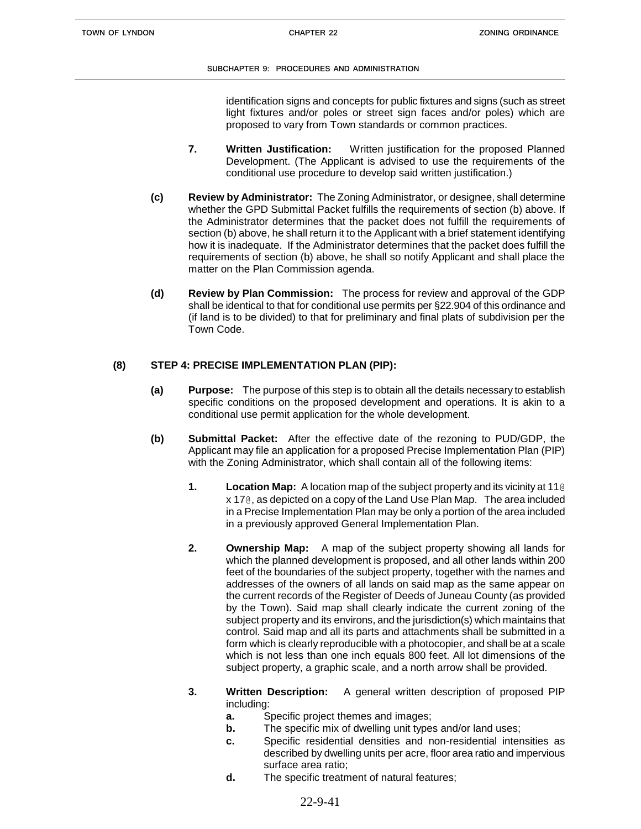identification signs and concepts for public fixtures and signs (such as street light fixtures and/or poles or street sign faces and/or poles) which are proposed to vary from Town standards or common practices.

- **7. Written Justification:** Written justification for the proposed Planned Development. (The Applicant is advised to use the requirements of the conditional use procedure to develop said written justification.)
- **(c) Review by Administrator:** The Zoning Administrator, or designee, shall determine whether the GPD Submittal Packet fulfills the requirements of section (b) above. If the Administrator determines that the packet does not fulfill the requirements of section (b) above, he shall return it to the Applicant with a brief statement identifying how it is inadequate. If the Administrator determines that the packet does fulfill the requirements of section (b) above, he shall so notify Applicant and shall place the matter on the Plan Commission agenda.
- **(d) Review by Plan Commission:** The process for review and approval of the GDP shall be identical to that for conditional use permits per §22.904 of this ordinance and (if land is to be divided) to that for preliminary and final plats of subdivision per the Town Code.

# **(8) STEP 4: PRECISE IMPLEMENTATION PLAN (PIP):**

- **(a) Purpose:** The purpose of this step is to obtain all the details necessary to establish specific conditions on the proposed development and operations. It is akin to a conditional use permit application for the whole development.
- **(b) Submittal Packet:** After the effective date of the rezoning to PUD/GDP, the Applicant may file an application for a proposed Precise Implementation Plan (PIP) with the Zoning Administrator, which shall contain all of the following items:
	- **1. Location Map:** A location map of the subject property and its vicinity at 11@ x 17@, as depicted on a copy of the Land Use Plan Map. The area included in a Precise Implementation Plan may be only a portion of the area included in a previously approved General Implementation Plan.
	- **2. Ownership Map:** A map of the subject property showing all lands for which the planned development is proposed, and all other lands within 200 feet of the boundaries of the subject property, together with the names and addresses of the owners of all lands on said map as the same appear on the current records of the Register of Deeds of Juneau County (as provided by the Town). Said map shall clearly indicate the current zoning of the subject property and its environs, and the jurisdiction(s) which maintains that control. Said map and all its parts and attachments shall be submitted in a form which is clearly reproducible with a photocopier, and shall be at a scale which is not less than one inch equals 800 feet. All lot dimensions of the subject property, a graphic scale, and a north arrow shall be provided.
	- **3. Written Description:** A general written description of proposed PIP including:
		- **a.** Specific project themes and images;
		- **b.** The specific mix of dwelling unit types and/or land uses;
		- **c.** Specific residential densities and non-residential intensities as described by dwelling units per acre, floor area ratio and impervious surface area ratio;
		- **d.** The specific treatment of natural features;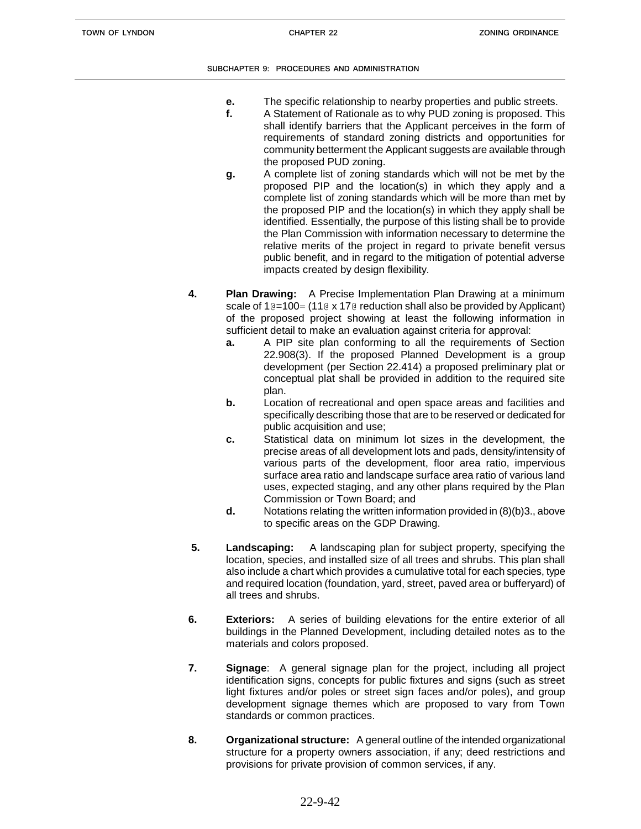- **e.** The specific relationship to nearby properties and public streets.
- **f.** A Statement of Rationale as to why PUD zoning is proposed. This shall identify barriers that the Applicant perceives in the form of requirements of standard zoning districts and opportunities for community betterment the Applicant suggests are available through the proposed PUD zoning.
- **g.** A complete list of zoning standards which will not be met by the proposed PIP and the location(s) in which they apply and a complete list of zoning standards which will be more than met by the proposed PIP and the location(s) in which they apply shall be identified. Essentially, the purpose of this listing shall be to provide the Plan Commission with information necessary to determine the relative merits of the project in regard to private benefit versus public benefit, and in regard to the mitigation of potential adverse impacts created by design flexibility.
- **4. Plan Drawing:** A Precise Implementation Plan Drawing at a minimum scale of  $10=100=$  (110 x 170 reduction shall also be provided by Applicant) of the proposed project showing at least the following information in sufficient detail to make an evaluation against criteria for approval:
	- **a.** A PIP site plan conforming to all the requirements of Section 22.908(3). If the proposed Planned Development is a group development (per Section 22.414) a proposed preliminary plat or conceptual plat shall be provided in addition to the required site plan.
	- **b.** Location of recreational and open space areas and facilities and specifically describing those that are to be reserved or dedicated for public acquisition and use;
	- **c.** Statistical data on minimum lot sizes in the development, the precise areas of all development lots and pads, density/intensity of various parts of the development, floor area ratio, impervious surface area ratio and landscape surface area ratio of various land uses, expected staging, and any other plans required by the Plan Commission or Town Board; and
	- **d.** Notations relating the written information provided in (8)(b)3., above to specific areas on the GDP Drawing.
- **5. Landscaping:** A landscaping plan for subject property, specifying the location, species, and installed size of all trees and shrubs. This plan shall also include a chart which provides a cumulative total for each species, type and required location (foundation, yard, street, paved area or bufferyard) of all trees and shrubs.
- **6. Exteriors:** A series of building elevations for the entire exterior of all buildings in the Planned Development, including detailed notes as to the materials and colors proposed.
- **7. Signage**: A general signage plan for the project, including all project identification signs, concepts for public fixtures and signs (such as street light fixtures and/or poles or street sign faces and/or poles), and group development signage themes which are proposed to vary from Town standards or common practices.
- **8. Organizational structure:** A general outline of the intended organizational structure for a property owners association, if any; deed restrictions and provisions for private provision of common services, if any.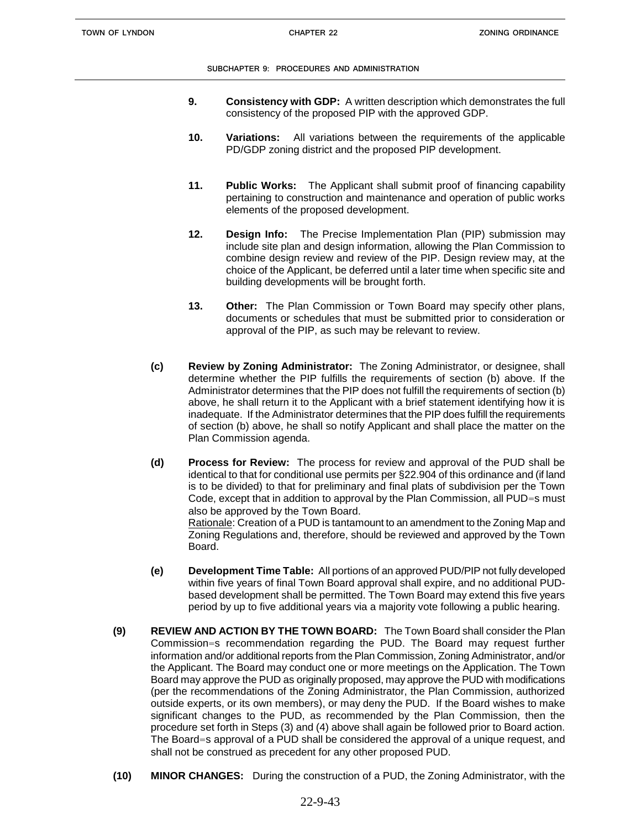- **9. Consistency with GDP:** A written description which demonstrates the full consistency of the proposed PIP with the approved GDP.
- **10. Variations:** All variations between the requirements of the applicable PD/GDP zoning district and the proposed PIP development.
- **11. Public Works:** The Applicant shall submit proof of financing capability pertaining to construction and maintenance and operation of public works elements of the proposed development.
- **12. Design Info:** The Precise Implementation Plan (PIP) submission may include site plan and design information, allowing the Plan Commission to combine design review and review of the PIP. Design review may, at the choice of the Applicant, be deferred until a later time when specific site and building developments will be brought forth.
- **13. Other:** The Plan Commission or Town Board may specify other plans, documents or schedules that must be submitted prior to consideration or approval of the PIP, as such may be relevant to review.
- **(c) Review by Zoning Administrator:** The Zoning Administrator, or designee, shall determine whether the PIP fulfills the requirements of section (b) above. If the Administrator determines that the PIP does not fulfill the requirements of section (b) above, he shall return it to the Applicant with a brief statement identifying how it is inadequate. If the Administrator determines that the PIP does fulfill the requirements of section (b) above, he shall so notify Applicant and shall place the matter on the Plan Commission agenda.
- **(d) Process for Review:** The process for review and approval of the PUD shall be identical to that for conditional use permits per §22.904 of this ordinance and (if land is to be divided) to that for preliminary and final plats of subdivision per the Town Code, except that in addition to approval by the Plan Commission, all PUD=s must also be approved by the Town Board. Rationale: Creation of a PUD is tantamount to an amendment to the Zoning Map and Zoning Regulations and, therefore, should be reviewed and approved by the Town Board.
- **(e) Development Time Table:** All portions of an approved PUD/PIP not fully developed within five years of final Town Board approval shall expire, and no additional PUDbased development shall be permitted. The Town Board may extend this five years period by up to five additional years via a majority vote following a public hearing.
- **(9) REVIEW AND ACTION BY THE TOWN BOARD:** The Town Board shall consider the Plan Commission=s recommendation regarding the PUD. The Board may request further information and/or additional reports from the Plan Commission, Zoning Administrator, and/or the Applicant. The Board may conduct one or more meetings on the Application. The Town Board may approve the PUD as originally proposed, may approve the PUD with modifications (per the recommendations of the Zoning Administrator, the Plan Commission, authorized outside experts, or its own members), or may deny the PUD. If the Board wishes to make significant changes to the PUD, as recommended by the Plan Commission, then the procedure set forth in Steps (3) and (4) above shall again be followed prior to Board action. The Board=s approval of a PUD shall be considered the approval of a unique request, and shall not be construed as precedent for any other proposed PUD.
- **(10) MINOR CHANGES:** During the construction of a PUD, the Zoning Administrator, with the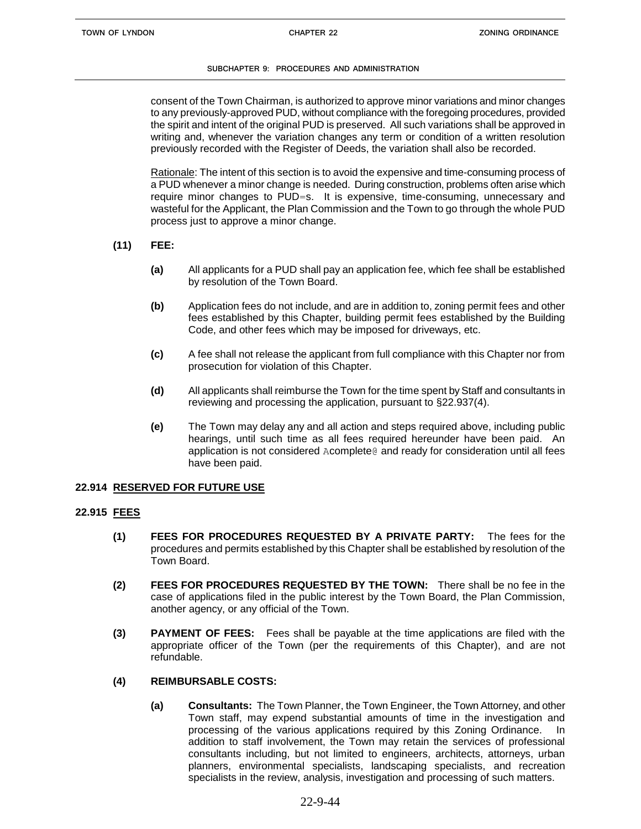consent of the Town Chairman, is authorized to approve minor variations and minor changes to any previously-approved PUD, without compliance with the foregoing procedures, provided the spirit and intent of the original PUD is preserved. All such variations shall be approved in writing and, whenever the variation changes any term or condition of a written resolution previously recorded with the Register of Deeds, the variation shall also be recorded.

Rationale: The intent of this section is to avoid the expensive and time-consuming process of a PUD whenever a minor change is needed. During construction, problems often arise which require minor changes to PUD=s. It is expensive, time-consuming, unnecessary and wasteful for the Applicant, the Plan Commission and the Town to go through the whole PUD process just to approve a minor change.

- **(11) FEE:**
	- **(a)** All applicants for a PUD shall pay an application fee, which fee shall be established by resolution of the Town Board.
	- **(b)** Application fees do not include, and are in addition to, zoning permit fees and other fees established by this Chapter, building permit fees established by the Building Code, and other fees which may be imposed for driveways, etc.
	- **(c)** A fee shall not release the applicant from full compliance with this Chapter nor from prosecution for violation of this Chapter.
	- **(d)** All applicants shall reimburse the Town for the time spent by Staff and consultants in reviewing and processing the application, pursuant to §22.937(4).
	- **(e)** The Town may delay any and all action and steps required above, including public hearings, until such time as all fees required hereunder have been paid. An application is not considered Acomplete@ and ready for consideration until all fees have been paid.

## **22.914 RESERVED FOR FUTURE USE**

## **22.915 FEES**

- **(1) FEES FOR PROCEDURES REQUESTED BY A PRIVATE PARTY:** The fees for the procedures and permits established by this Chapter shall be established by resolution of the Town Board.
- **(2) FEES FOR PROCEDURES REQUESTED BY THE TOWN:** There shall be no fee in the case of applications filed in the public interest by the Town Board, the Plan Commission, another agency, or any official of the Town.
- **(3) PAYMENT OF FEES:** Fees shall be payable at the time applications are filed with the appropriate officer of the Town (per the requirements of this Chapter), and are not refundable.

## **(4) REIMBURSABLE COSTS:**

**(a) Consultants:** The Town Planner, the Town Engineer, the Town Attorney, and other Town staff, may expend substantial amounts of time in the investigation and processing of the various applications required by this Zoning Ordinance. In addition to staff involvement, the Town may retain the services of professional consultants including, but not limited to engineers, architects, attorneys, urban planners, environmental specialists, landscaping specialists, and recreation specialists in the review, analysis, investigation and processing of such matters.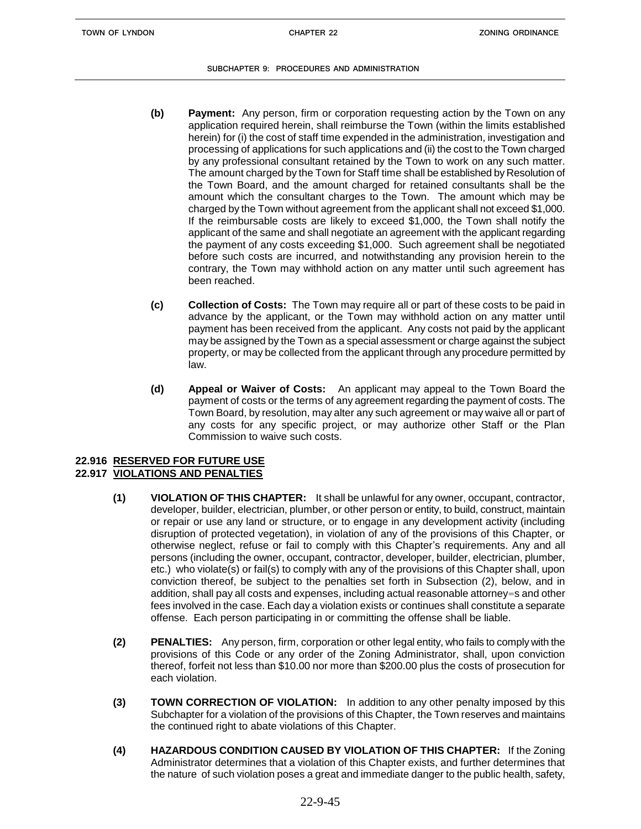- **(b) Payment:** Any person, firm or corporation requesting action by the Town on any application required herein, shall reimburse the Town (within the limits established herein) for (i) the cost of staff time expended in the administration, investigation and processing of applications for such applications and (ii) the cost to the Town charged by any professional consultant retained by the Town to work on any such matter. The amount charged by the Town for Staff time shall be established by Resolution of the Town Board, and the amount charged for retained consultants shall be the amount which the consultant charges to the Town. The amount which may be charged by the Town without agreement from the applicant shall not exceed \$1,000. If the reimbursable costs are likely to exceed \$1,000, the Town shall notify the applicant of the same and shall negotiate an agreement with the applicant regarding the payment of any costs exceeding \$1,000. Such agreement shall be negotiated before such costs are incurred, and notwithstanding any provision herein to the contrary, the Town may withhold action on any matter until such agreement has been reached.
- **(c) Collection of Costs:** The Town may require all or part of these costs to be paid in advance by the applicant, or the Town may withhold action on any matter until payment has been received from the applicant. Any costs not paid by the applicant may be assigned by the Town as a special assessment or charge against the subject property, or may be collected from the applicant through any procedure permitted by law.
- **(d) Appeal or Waiver of Costs:** An applicant may appeal to the Town Board the payment of costs or the terms of any agreement regarding the payment of costs. The Town Board, by resolution, may alter any such agreement or may waive all or part of any costs for any specific project, or may authorize other Staff or the Plan Commission to waive such costs.

### **22.916 RESERVED FOR FUTURE USE 22.917 VIOLATIONS AND PENALTIES**

- **(1) VIOLATION OF THIS CHAPTER:** It shall be unlawful for any owner, occupant, contractor, developer, builder, electrician, plumber, or other person or entity, to build, construct, maintain or repair or use any land or structure, or to engage in any development activity (including disruption of protected vegetation), in violation of any of the provisions of this Chapter, or otherwise neglect, refuse or fail to comply with this Chapter's requirements. Any and all persons (including the owner, occupant, contractor, developer, builder, electrician, plumber, etc.) who violate(s) or fail(s) to comply with any of the provisions of this Chapter shall, upon conviction thereof, be subject to the penalties set forth in Subsection (2), below, and in addition, shall pay all costs and expenses, including actual reasonable attorney=s and other fees involved in the case. Each day a violation exists or continues shall constitute a separate offense. Each person participating in or committing the offense shall be liable.
- **(2) PENALTIES:** Any person, firm, corporation or other legal entity, who fails to comply with the provisions of this Code or any order of the Zoning Administrator, shall, upon conviction thereof, forfeit not less than \$10.00 nor more than \$200.00 plus the costs of prosecution for each violation.
- **(3) TOWN CORRECTION OF VIOLATION:** In addition to any other penalty imposed by this Subchapter for a violation of the provisions of this Chapter, the Town reserves and maintains the continued right to abate violations of this Chapter.
- **(4) HAZARDOUS CONDITION CAUSED BY VIOLATION OF THIS CHAPTER:** If the Zoning Administrator determines that a violation of this Chapter exists, and further determines that the nature of such violation poses a great and immediate danger to the public health, safety,